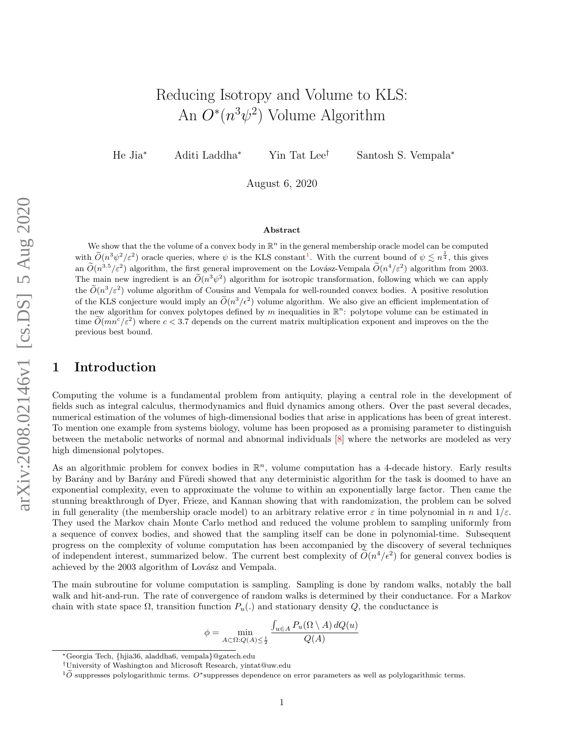# Reducing Isotropy and Volume to KLS: An  $O^*(n^3\psi^2)$  Volume Algorithm

He Jia<sup>∗</sup> Aditi Laddha<sup>∗</sup> Yin Tat Lee† Santosh S. Vempala<sup>∗</sup>

August 6, 2020

#### Abstract

We show that the the volume of a convex body in  $\mathbb{R}^n$  in the general membership oracle model can be computed with  $\tilde{O}(n^3\psi^2/\varepsilon^2)$  oracle queries, where  $\psi$  is the KLS constant<sup>[1](#page-0-0)</sup>. With the current bound of  $\psi \lesssim n^{\frac{1}{4}}$ , this gives an  $\widetilde{O}(n^{3.5}/\varepsilon^2)$  algorithm, the first general improvement on the Lovász-Vempala  $\widetilde{O}(n^4/\varepsilon^2)$  algorithm from 2003. The main new ingredient is an  $\tilde{O}(n^3\psi^2)$  algorithm for isotropic transformation, following which we can apply the  $\tilde{O}(n^3/\varepsilon^2)$  volume algorithm of Cousins and Vempala for well-rounded convex bodies. A positive resolution of the KLS conjecture would imply an  $\widetilde{O}(n^3/\epsilon^2)$  volume algorithm. We also give an efficient implementation of the new algorithm for convex polytopes defined by m inequalities in  $\mathbb{R}^n$ : polytope volume can be estimated in time  $\tilde{O}(mn^c/\varepsilon^2)$  where  $c < 3.7$  depends on the current matrix multiplication exponent and improves on the the previous best bound.

## 1 Introduction

Computing the volume is a fundamental problem from antiquity, playing a central role in the development of fields such as integral calculus, thermodynamics and fluid dynamics among others. Over the past several decades, numerical estimation of the volumes of high-dimensional bodies that arise in applications has been of great interest. To mention one example from systems biology, volume has been proposed as a promising parameter to distinguish between the metabolic networks of normal and abnormal individuals [\[8\]](#page-16-0) where the networks are modeled as very high dimensional polytopes.

As an algorithmic problem for convex bodies in  $\mathbb{R}^n$ , volume computation has a 4-decade history. Early results by Barány and by Barány and Füredi showed that any deterministic algorithm for the task is doomed to have an exponential complexity, even to approximate the volume to within an exponentially large factor. Then came the stunning breakthrough of Dyer, Frieze, and Kannan showing that with randomization, the problem can be solved in full generality (the membership oracle model) to an arbitrary relative error  $\varepsilon$  in time polynomial in n and  $1/\varepsilon$ . They used the Markov chain Monte Carlo method and reduced the volume problem to sampling uniformly from a sequence of convex bodies, and showed that the sampling itself can be done in polynomial-time. Subsequent progress on the complexity of volume computation has been accompanied by the discovery of several techniques of independent interest, summarized below. The current best complexity of  $\tilde{O}(n^4/\epsilon^2)$  for general convex bodies is achieved by the 2003 algorithm of Lovász and Vempala.

The main subroutine for volume computation is sampling. Sampling is done by random walks, notably the ball walk and hit-and-run. The rate of convergence of random walks is determined by their conductance. For a Markov chain with state space  $\Omega$ , transition function  $P_u(.)$  and stationary density  $Q$ , the conductance is

$$
\phi = \min_{A \subset \Omega : Q(A) \le \frac{1}{2}} \frac{\int_{u \in A} P_u(\Omega \setminus A) dQ(u)}{Q(A)}
$$

<sup>∗</sup>Georgia Tech, {hjia36, aladdha6, vempala}@gatech.edu

<sup>†</sup>University of Washington and Microsoft Research, yintat@uw.edu

<span id="page-0-0"></span> $10^{\circ}$  suppresses polylogarithmic terms. O<sup>∗</sup>suppresses dependence on error parameters as well as polylogarithmic terms.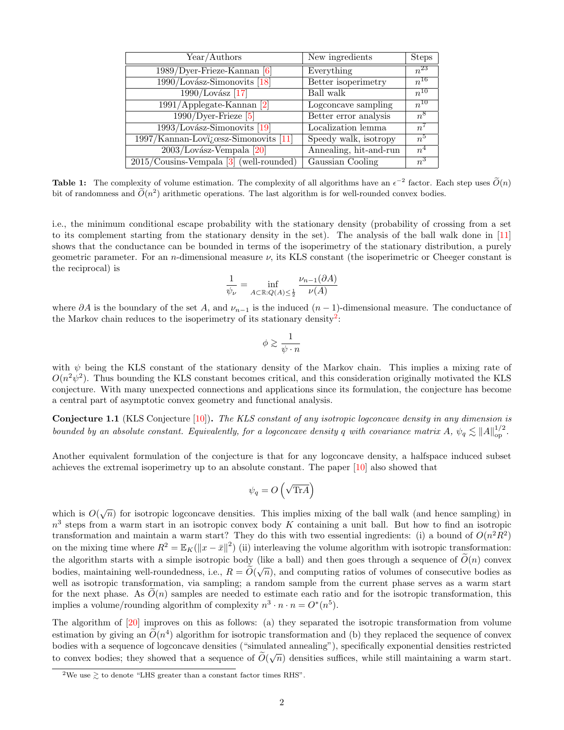| Year/Authors                                       | New ingredients        | <b>Steps</b>   |
|----------------------------------------------------|------------------------|----------------|
| $1989/Dyer$ -Frieze-Kannan [6]                     | Everything             | $n^{23}$       |
| $1990$ /Lovász-Simonovits [18]                     | Better isoperimetry    | $n^{16}$       |
| $1990$ /Lovász [17]                                | Ball walk              | $n^{10}$       |
| $1991/Applegate-Kannan [2]$                        | Logconcave sampling    | $n^{10}$       |
| $\overline{1990}/$ Dyer-Frieze [5]                 | Better error analysis  | $n^8$          |
| $1993$ /Lovász-Simonovits [19]                     | Localization lemma     | n <sup>l</sup> |
| 1997/Kannan-Lovi <sub>i</sub> cesz-Simonovits [11] | Speedy walk, isotropy  | $n^5$          |
| $2003$ /Lovász-Vempala [20]                        | Annealing, hit-and-run | n <sup>4</sup> |
| $2015$ /Cousins-Vempala [3] (well-rounded)         | Gaussian Cooling       | $n^3$          |

**Table 1:** The complexity of volume estimation. The complexity of all algorithms have an  $\epsilon^{-2}$  factor. Each step uses  $\widetilde{O}(n)$ bit of randomness and  $\tilde{O}(n^2)$  arithmetic operations. The last algorithm is for well-rounded convex bodies.

i.e., the minimum conditional escape probability with the stationary density (probability of crossing from a set to its complement starting from the stationary density in the set). The analysis of the ball walk done in [\[11\]](#page-16-6) shows that the conductance can be bounded in terms of the isoperimetry of the stationary distribution, a purely geometric parameter. For an *n*-dimensional measure  $\nu$ , its KLS constant (the isoperimetric or Cheeger constant is the reciprocal) is

$$
\frac{1}{\psi_{\nu}} = \inf_{A \subset \mathbb{R}: Q(A) \le \frac{1}{2}} \frac{\nu_{n-1}(\partial A)}{\nu(A)}
$$

where  $\partial A$  is the boundary of the set A, and  $\nu_{n-1}$  is the induced  $(n-1)$ -dimensional measure. The conductance of the Markov chain reduces to the isoperimetry of its stationary density<sup>[2](#page-1-0)</sup>:

$$
\phi \gtrsim \frac{1}{\psi \cdot n}
$$

with  $\psi$  being the KLS constant of the stationary density of the Markov chain. This implies a mixing rate of  $O(n^2\psi^2)$ . Thus bounding the KLS constant becomes critical, and this consideration originally motivated the KLS conjecture. With many unexpected connections and applications since its formulation, the conjecture has become a central part of asymptotic convex geometry and functional analysis.

**Conjecture 1.1** (KLS Conjecture  $[10]$ ). The KLS constant of any isotropic logconcave density in any dimension is bounded by an absolute constant. Equivalently, for a logconcave density q with covariance matrix  $A, \psi_q \lesssim ||A||_{op}^{1/2}$ .

Another equivalent formulation of the conjecture is that for any logconcave density, a halfspace induced subset achieves the extremal isoperimetry up to an absolute constant. The paper [\[10\]](#page-16-8) also showed that

$$
\psi_q = O\left(\sqrt{\text{Tr}A}\right)
$$

which is  $O(\sqrt{n})$  for isotropic logconcave densities. This implies mixing of the ball walk (and hence sampling) in  $n<sup>3</sup>$  steps from a warm start in an isotropic convex body K containing a unit ball. But how to find an isotropic transformation and maintain a warm start? They do this with two essential ingredients: (i) a bound of  $O(n^2R^2)$ on the mixing time where  $R^2 = \mathbb{E}_K(\Vert x - \bar{x} \Vert^2)$  (ii) interleaving the volume algorithm with isotropic transformation: the algorithm starts with a simple isotropic body (like a ball) and then goes through a sequence of  $\tilde{O}(n)$  convex bodies, maintaining well-roundedness, i.e.,  $R = \widetilde{O}(\sqrt{n})$ , and computing ratios of volumes of consecutive bodies as well as isotropic transformation, via sampling; a random sample from the current phase serves as a warm start for the next phase. As  $O(n)$  samples are needed to estimate each ratio and for the isotropic transformation, this implies a volume/rounding algorithm of complexity  $n^3 \cdot n \cdot n = O^*(n^5)$ .

The algorithm of [\[20\]](#page-16-7) improves on this as follows: (a) they separated the isotropic transformation from volume estimation by giving an  $\tilde{O}(n^4)$  algorithm for isotropic transformation and (b) they replaced the sequence of convex bodies with a sequence of logconcave densities ("simulated annealing"), specifically exponential densities restricted to convex bodies; they showed that a sequence of  $\tilde{O}(\sqrt{n})$  densities suffices, while still maintaining a warm start.

<span id="page-1-0"></span><sup>&</sup>lt;sup>2</sup>We use  $\geq$  to denote "LHS greater than a constant factor times RHS".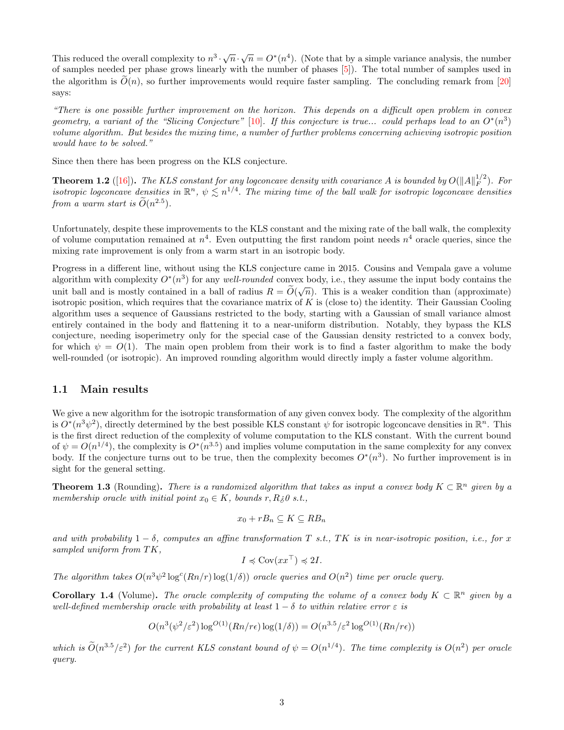This reduced the overall complexity to  $n^3 \cdot \sqrt{n} \cdot \sqrt{n} = O^*(n^4)$ . (Note that by a simple variance analysis, the number of samples needed per phase grows linearly with the number of phases [\[5\]](#page-16-4)). The total number of samples used in the algorithm is  $\tilde{O}(n)$ , so further improvements would require faster sampling. The concluding remark from [\[20\]](#page-16-7) says:

"There is one possible further improvement on the horizon. This depends on a difficult open problem in convex geometry, a variant of the "Slicing Conjecture" [\[10\]](#page-16-8). If this conjecture is true... could perhaps lead to an  $O^*(n^3)$ volume algorithm. But besides the mixing time, a number of further problems concerning achieving isotropic position would have to be solved."

Since then there has been progress on the KLS conjecture.

**Theorem 1.2** ([\[16\]](#page-16-9)). The KLS constant for any logconcave density with covariance A is bounded by  $O(||A||_F^{1/2})$  $_F^{1/2}$ ). For isotropic logconcave densities in  $\mathbb{R}^n$ ,  $\psi \lesssim n^{1/4}$ . The mixing time of the ball walk for isotropic logconcave densities from a warm start is  $\widetilde{O}(n^{2.5})$ .

Unfortunately, despite these improvements to the KLS constant and the mixing rate of the ball walk, the complexity of volume computation remained at  $n^4$ . Even outputting the first random point needs  $n^4$  oracle queries, since the mixing rate improvement is only from a warm start in an isotropic body.

Progress in a different line, without using the KLS conjecture came in 2015. Cousins and Vempala gave a volume algorithm with complexity  $O^*(n^3)$  for any *well-rounded* convex body, i.e., they assume the input body contains the unit ball and is mostly contained in a ball of radius  $R = \widetilde{O}(\sqrt{n})$ . This is a weaker condition than (approximate) isotropic position, which requires that the covariance matrix of  $K$  is (close to) the identity. Their Gaussian Cooling algorithm uses a sequence of Gaussians restricted to the body, starting with a Gaussian of small variance almost entirely contained in the body and flattening it to a near-uniform distribution. Notably, they bypass the KLS conjecture, needing isoperimetry only for the special case of the Gaussian density restricted to a convex body, for which  $\psi = O(1)$ . The main open problem from their work is to find a faster algorithm to make the body well-rounded (or isotropic). An improved rounding algorithm would directly imply a faster volume algorithm.

#### 1.1 Main results

We give a new algorithm for the isotropic transformation of any given convex body. The complexity of the algorithm is  $O^*(n^3\psi^2)$ , directly determined by the best possible KLS constant  $\psi$  for isotropic logconcave densities in  $\mathbb{R}^n$ . This is the first direct reduction of the complexity of volume computation to the KLS constant. With the current bound of  $\psi = O(n^{1/4})$ , the complexity is  $O^*(n^{3.5})$  and implies volume computation in the same complexity for any convex body. If the conjecture turns out to be true, then the complexity becomes  $O^*(n^3)$ . No further improvement is in sight for the general setting.

<span id="page-2-0"></span>**Theorem 1.3** (Rounding). There is a randomized algorithm that takes as input a convex body  $K \subset \mathbb{R}^n$  given by a membership oracle with initial point  $x_0 \in K$ , bounds r,  $R \geq 0$  s.t.,

$$
x_0 + rB_n \subseteq K \subseteq RB_n
$$

and with probability  $1 - \delta$ , computes an affine transformation T s.t., TK is in near-isotropic position, i.e., for x sampled uniform from TK,

$$
I \preccurlyeq \text{Cov}(xx^\top) \preccurlyeq 2I.
$$

The algorithm takes  $O(n^3\psi^2 \log^c(Rn/r) \log(1/\delta))$  oracle queries and  $O(n^2)$  time per oracle query.

**Corollary 1.4** (Volume). The oracle complexity of computing the volume of a convex body  $K \subset \mathbb{R}^n$  given by a well-defined membership oracle with probability at least  $1 - \delta$  to within relative error  $\varepsilon$  is

$$
O(n^3(\psi^2/\varepsilon^2) \log^{O(1)}(Rn/r\epsilon) \log(1/\delta)) = O(n^{3.5}/\varepsilon^2 \log^{O(1)}(Rn/r\epsilon))
$$

which is  $\tilde{O}(n^{3.5}/\varepsilon^2)$  for the current KLS constant bound of  $\psi = O(n^{1/4})$ . The time complexity is  $O(n^2)$  per oracle query.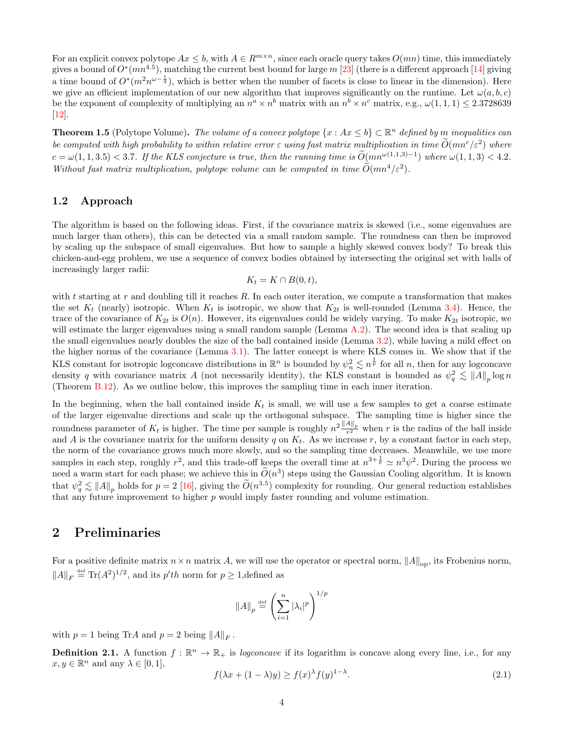For an explicit convex polytope  $Ax \leq b$ , with  $A \in R^{m \times n}$ , since each oracle query takes  $O(mn)$  time, this immediately gives a bound of  $O^*(mn^{4.5})$ , matching the current best bound for large m [\[23\]](#page-16-10) (there is a different approach [\[14\]](#page-16-11) giving a time bound of  $O^*(m^2n^{\omega-\frac{1}{3}})$ , which is better when the number of facets is close to linear in the dimension). Here we give an efficient implementation of our new algorithm that improves significantly on the runtime. Let  $\omega(a, b, c)$ be the exponent of complexity of multiplying an  $n^a \times n^b$  matrix with an  $n^b \times n^c$  matrix, e.g.,  $\omega(1,1,1) \leq 2.3728639$ [\[12\]](#page-16-12).

<span id="page-3-0"></span>**Theorem 1.5** (Polytope Volume). The volume of a convex polytope  $\{x : Ax \leq b\} \subset \mathbb{R}^n$  defined by m inequalities can be computed with high probability to within relative error  $\varepsilon$  using fast matrix multiplication in time  $\widetilde{O}(mn^c/\varepsilon^2)$  where  $c = \omega(1, 1, 3.5) < 3.7$ . If the KLS conjecture is true, then the running time is  $\widetilde{O}(mn^{\omega(1,1,3)-1})$  where  $\omega(1,1,3) < 4.2$ . Without fast matrix multiplication, polytope volume can be computed in time  $\tilde{O}(mn^4/\varepsilon^2)$ .

### 1.2 Approach

The algorithm is based on the following ideas. First, if the covariance matrix is skewed (i.e., some eigenvalues are much larger than others), this can be detected via a small random sample. The roundness can then be improved by scaling up the subspace of small eigenvalues. But how to sample a highly skewed convex body? To break this chicken-and-egg problem, we use a sequence of convex bodies obtained by intersecting the original set with balls of increasingly larger radii:

$$
K_t = K \cap B(0, t),
$$

with t starting at r and doubling till it reaches R. In each outer iteration, we compute a transformation that makes the set  $K_t$  (nearly) isotropic. When  $K_t$  is isotropic, we show that  $K_{2t}$  is well-rounded (Lemma [3.4\)](#page-11-0). Hence, the trace of the covariance of  $K_{2t}$  is  $O(n)$ . However, its eigenvalues could be widely varying. To make  $K_{2t}$  isotropic, we will estimate the larger eigenvalues using a small random sample (Lemma  $A.2$ ). The second idea is that scaling up the small eigenvalues nearly doubles the size of the ball contained inside (Lemma [3.2\)](#page-8-0), while having a mild effect on the higher norms of the covariance (Lemma [3.1\)](#page-6-0). The latter concept is where KLS comes in. We show that if the KLS constant for isotropic logconcave distributions in  $\mathbb{R}^n$  is bounded by  $\psi_n^2 \lesssim n^{\frac{1}{p}}$  for all n, then for any logconcave density q with covariance matrix A (not necessarily identity), the KLS constant is bounded as  $\psi_q^2 \lesssim ||A||_p \log n$ (Theorem [B.12\)](#page-21-0). As we outline below, this improves the sampling time in each inner iteration.

In the beginning, when the ball contained inside  $K_t$  is small, we will use a few samples to get a coarse estimate of the larger eigenvalue directions and scale up the orthogonal subspace. The sampling time is higher since the roundness parameter of  $K_t$  is higher. The time per sample is roughly  $n^2 \frac{\|A\|_p}{r^2}$  when r is the radius of the ball inside and A is the covariance matrix for the uniform density q on  $K_t$ . As we increase r, by a constant factor in each step, the norm of the covariance grows much more slowly, and so the sampling time decreases. Meanwhile, we use more samples in each step, roughly  $r^2$ , and this trade-off keeps the overall time at  $n^{3+\frac{1}{p}} \simeq n^3 \psi^2$ . During the process we need a warm start for each phase; we achieve this in  $\widetilde{O}(n^3)$  steps using the Gaussian Cooling algorithm. It is known that  $\psi_q^2 \lesssim ||A||_p$  holds for  $p = 2$  [\[16\]](#page-16-9), giving the  $\widetilde{O}(n^{3.5})$  complexity for rounding. Our general reduction establishes that any future improvement to higher  $p$  would imply faster rounding and volume estimation.

## 2 Preliminaries

For a positive definite matrix  $n \times n$  matrix A, we will use the operator or spectral norm,  $||A||_{op}$ , its Frobenius norm,  $||A||_F \stackrel{\text{def}}{=} \text{Tr}(A^2)^{1/2}$ , and its  $p'th$  norm for  $p \ge 1$ , defined as

$$
||A||_p \stackrel{\text{def}}{=} \left(\sum_{i=1}^n |\lambda_i|^p\right)^{1/p}
$$

with  $p = 1$  being TrA and  $p = 2$  being  $||A||_F$ .

**Definition 2.1.** A function  $f : \mathbb{R}^n \to \mathbb{R}_+$  is logconcave if its logarithm is concave along every line, i.e., for any  $x, y \in \mathbb{R}^n$  and any  $\lambda \in [0, 1],$ 

$$
f(\lambda x + (1 - \lambda)y) \ge f(x)^{\lambda} f(y)^{1 - \lambda}.
$$
\n(2.1)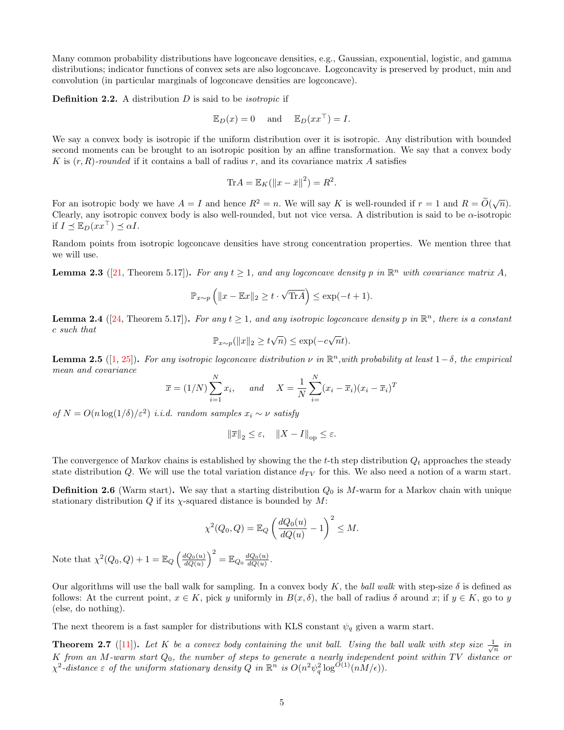Many common probability distributions have logconcave densities, e.g., Gaussian, exponential, logistic, and gamma distributions; indicator functions of convex sets are also logconcave. Logconcavity is preserved by product, min and convolution (in particular marginals of logconcave densities are logconcave).

**Definition 2.2.** A distribution  $D$  is said to be *isotropic* if

$$
\mathbb{E}_D(x) = 0
$$
 and  $\mathbb{E}_D(xx^{\top}) = I$ .

We say a convex body is isotropic if the uniform distribution over it is isotropic. Any distribution with bounded second moments can be brought to an isotropic position by an affine transformation. We say that a convex body K is  $(r, R)$ -rounded if it contains a ball of radius r, and its covariance matrix A satisfies

$$
\text{Tr} A = \mathbb{E}_K (\left\| x - \bar{x} \right\|^2) = R^2.
$$

For an isotropic body we have  $A = I$  and hence  $R^2 = n$ . We will say K is well-rounded if  $r = 1$  and  $R = \widetilde{O}(\sqrt{n})$ . Clearly, any isotropic convex body is also well-rounded, but not vice versa. A distribution is said to be  $\alpha$ -isotropic if  $I \prec \mathbb{E}_D(xx^{\perp}) \prec \alpha I$ .

Random points from isotropic logconcave densities have strong concentration properties. We mention three that we will use.

<span id="page-4-3"></span>**Lemma 2.3** ([\[21,](#page-16-13) Theorem 5.17]). For any  $t \ge 1$ , and any logconcave density p in  $\mathbb{R}^n$  with covariance matrix A,

$$
\mathbb{P}_{x \sim p} \left( \|x - \mathbb{E}x\|_2 \ge t \cdot \sqrt{\text{Tr}A} \right) \le \exp(-t + 1).
$$

<span id="page-4-2"></span>**Lemma 2.4** ([\[24,](#page-16-14) Theorem 5.17]). For any  $t \ge 1$ , and any isotropic logconcave density p in  $\mathbb{R}^n$ , there is a constant c such that √ √

$$
\mathbb{P}_{x \sim p}(\|x\|_2 \ge t\sqrt{n}) \le \exp(-c\sqrt{n}t).
$$

<span id="page-4-1"></span>**Lemma 2.5** ([\[1,](#page-15-2) [25\]](#page-17-1)). For any isotropic logeoncave distribution  $\nu$  in  $\mathbb{R}^n$ , with probability at least  $1-\delta$ , the empirical mean and covariance

$$
\overline{x} = (1/N) \sum_{i=1}^{N} x_i
$$
, and  $X = \frac{1}{N} \sum_{i=1}^{N} (x_i - \overline{x}_i)(x_i - \overline{x}_i)^T$ 

of  $N = O(n \log(1/\delta)/\varepsilon^2)$  i.i.d. random samples  $x_i \sim \nu$  satisfy

$$
\left\|\overline{x}\right\|_2\leq\varepsilon,\quad \left\|X-I\right\|_{\mathrm{op}}\leq\varepsilon.
$$

The convergence of Markov chains is established by showing the the t-th step distribution  $Q_t$  approaches the steady state distribution Q. We will use the total variation distance  $d_{TV}$  for this. We also need a notion of a warm start.

**Definition 2.6** (Warm start). We say that a starting distribution  $Q_0$  is M-warm for a Markov chain with unique stationary distribution  $Q$  if its  $\chi$ -squared distance is bounded by  $M$ :

$$
\chi^2(Q_0, Q) = \mathbb{E}_Q \left(\frac{dQ_0(u)}{dQ(u)} - 1\right)^2 \le M.
$$
  
Note that 
$$
\chi^2(Q_0, Q) + 1 = \mathbb{E}_Q \left(\frac{dQ_0(u)}{dQ(u)}\right)^2 = \mathbb{E}_{Q_0} \frac{dQ_0(u)}{dQ(u)}.
$$

Our algorithms will use the ball walk for sampling. In a convex body K, the ball walk with step-size  $\delta$  is defined as follows: At the current point,  $x \in K$ , pick y uniformly in  $B(x, \delta)$ , the ball of radius  $\delta$  around x; if  $y \in K$ , go to y (else, do nothing).

The next theorem is a fast sampler for distributions with KLS constant  $\psi_q$  given a warm start.

<span id="page-4-0"></span>**Theorem 2.7** ([\[11\]](#page-16-6)). Let K be a convex body containing the unit ball. Using the ball walk with step size  $\frac{1}{\sqrt{n}}$  in K from an M-warm start  $Q_0$ , the number of steps to generate a nearly independent point within TV distance or  $\chi^2$ -distance  $\varepsilon$  of the uniform stationary density  $Q$  in  $\mathbb{R}^n$  is  $O(n^2\psi_q^2\log^{O(1)}(nM/\epsilon)).$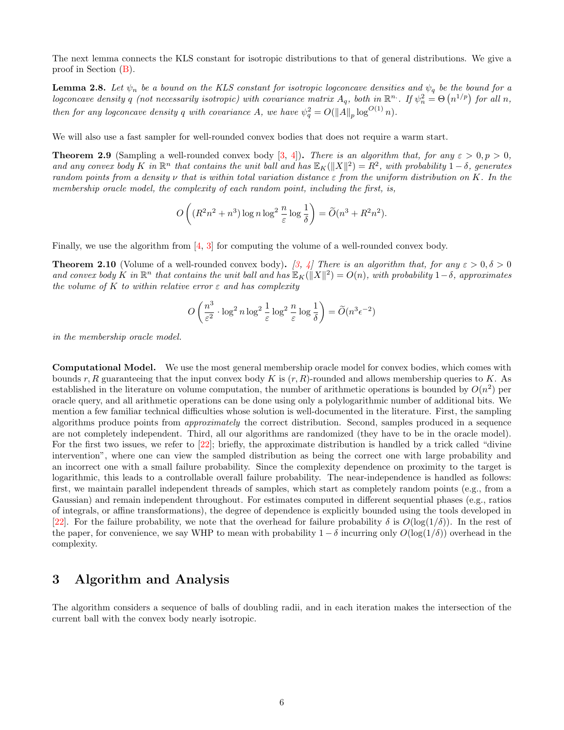The next lemma connects the KLS constant for isotropic distributions to that of general distributions. We give a proof in Section [\(B\)](#page-19-0).

<span id="page-5-0"></span>**Lemma 2.8.** Let  $\psi_n$  be a bound on the KLS constant for isotropic logconcave densities and  $\psi_q$  be the bound for a logconcave density q (not necessarily isotropic) with covariance matrix  $A_q$ , both in  $\mathbb{R}^n$ . If  $\psi_n^2 = \Theta(n^{1/p})$  for all n, then for any logconcave density q with covariance A, we have  $\psi_q^2 = O(||A||_p \log^{O(1)} n)$ .

We will also use a fast sampler for well-rounded convex bodies that does not require a warm start.

<span id="page-5-1"></span>**Theorem 2.9** (Sampling a well-rounded convex body [\[3,](#page-15-1) [4\]](#page-15-3)). There is an algorithm that, for any  $\varepsilon > 0, p > 0$ , and any convex body K in  $\mathbb{R}^n$  that contains the unit ball and has  $\mathbb{E}_K(\|X\|^2) = R^2$ , with probability  $1-\delta$ , generates random points from a density  $\nu$  that is within total variation distance  $\varepsilon$  from the uniform distribution on K. In the membership oracle model, the complexity of each random point, including the first, is,

$$
O\left((R^2n^2+n^3)\log n\log^2\frac{n}{\varepsilon}\log\frac{1}{\delta}\right)=\widetilde{O}(n^3+R^2n^2).
$$

Finally, we use the algorithm from [\[4,](#page-15-3) [3\]](#page-15-1) for computing the volume of a well-rounded convex body.

**Theorem 2.10** (Volume of a well-rounded convex body). [\[3,](#page-15-1) [4\]](#page-15-3) There is an algorithm that, for any  $\varepsilon > 0, \delta > 0$ and convex body K in  $\mathbb{R}^n$  that contains the unit ball and has  $\mathbb{E}_K(\|X\|^2) = O(n)$ , with probability  $1-\delta$ , approximates the volume of K to within relative error  $\varepsilon$  and has complexity

$$
O\left(\frac{n^3}{\varepsilon^2} \cdot \log^2 n \log^2 \frac{1}{\varepsilon} \log^2 \frac{n}{\varepsilon} \log \frac{1}{\delta}\right) = \widetilde{O}(n^3 \epsilon^{-2})
$$

in the membership oracle model.

Computational Model. We use the most general membership oracle model for convex bodies, which comes with bounds r, R guaranteeing that the input convex body K is  $(r, R)$ -rounded and allows membership queries to K. As established in the literature on volume computation, the number of arithmetic operations is bounded by  $O(n^2)$  per oracle query, and all arithmetic operations can be done using only a polylogarithmic number of additional bits. We mention a few familiar technical difficulties whose solution is well-documented in the literature. First, the sampling algorithms produce points from approximately the correct distribution. Second, samples produced in a sequence are not completely independent. Third, all our algorithms are randomized (they have to be in the oracle model). For the first two issues, we refer to [\[22\]](#page-16-15); briefly, the approximate distribution is handled by a trick called "divine" intervention", where one can view the sampled distribution as being the correct one with large probability and an incorrect one with a small failure probability. Since the complexity dependence on proximity to the target is logarithmic, this leads to a controllable overall failure probability. The near-independence is handled as follows: first, we maintain parallel independent threads of samples, which start as completely random points (e.g., from a Gaussian) and remain independent throughout. For estimates computed in different sequential phases (e.g., ratios of integrals, or affine transformations), the degree of dependence is explicitly bounded using the tools developed in [\[22\]](#page-16-15). For the failure probability, we note that the overhead for failure probability  $\delta$  is  $O(\log(1/\delta))$ . In the rest of the paper, for convenience, we say WHP to mean with probability  $1 - \delta$  incurring only  $O(\log(1/\delta))$  overhead in the complexity.

## 3 Algorithm and Analysis

The algorithm considers a sequence of balls of doubling radii, and in each iteration makes the intersection of the current ball with the convex body nearly isotropic.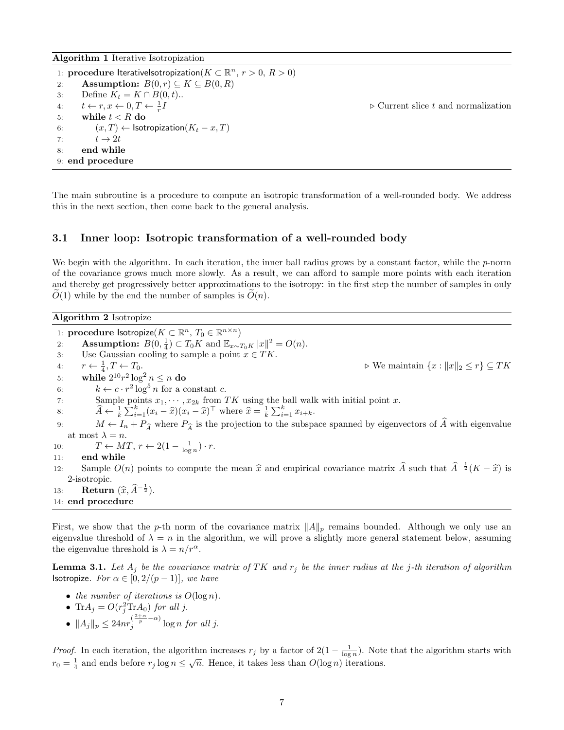Algorithm 1 Iterative Isotropization

1: procedure IterativeIsotropization $(K \subset \mathbb{R}^n, r > 0, R > 0)$ 2: **Assumption:**  $B(0,r) \subseteq K \subseteq B(0,R)$ 3: Define  $K_t = K \cap B(0, t)$ .. 4:  $t \leftarrow r, x \leftarrow 0, T \leftarrow \frac{1}{r}$  $\triangleright$  Current slice t and normalization 5: while  $t < R$  do 6:  $(x, T) \leftarrow$  Isotropization $(K_t - x, T)$ 7:  $t \to 2t$ 8: end while 9: end procedure

The main subroutine is a procedure to compute an isotropic transformation of a well-rounded body. We address this in the next section, then come back to the general analysis.

### 3.1 Inner loop: Isotropic transformation of a well-rounded body

We begin with the algorithm. In each iteration, the inner ball radius grows by a constant factor, while the  $p$ -norm of the covariance grows much more slowly. As a result, we can afford to sample more points with each iteration and thereby get progressively better approximations to the isotropy: in the first step the number of samples in only  $O(1)$  while by the end the number of samples is  $O(n)$ .

Algorithm 2 Isotropize

1: procedure lsotropize $(K \subset \mathbb{R}^n, T_0 \in \mathbb{R}^{n \times n})$ 2: **Assumption:**  $B(0, \frac{1}{4}) \subset T_0K$  and  $\mathbb{E}_{x \sim T_0K} ||x||^2 = O(n)$ . 3: Use Gaussian cooling to sample a point  $x \in TK$ . 4:  $r \leftarrow \frac{1}{4}, T \leftarrow T_0.$ 5: while  $2^{10}r^2 \log^2 n \le n$  do  $\triangleright$  We maintain  $\{x : ||x||_2 \le r\} \subseteq TK$ 6:  $k \leftarrow c \cdot r^2 \log^5 n$  for a constant c. 7: Sample points  $x_1, \dots, x_{2k}$  from TK using the ball walk with initial point x. 8:  $\hat{A} \leftarrow \frac{1}{k} \sum_{i=1}^{k} (x_i - \hat{x})(x_i - \hat{x})^{\top}$  where  $\hat{x} = \frac{1}{k} \sum_{i=1}^{k} x_{i+k}$ . 9:  $M \leftarrow I_n + P_{\widehat{A}}$  where  $P_{\widehat{A}}$  is the projection to the subspace spanned by eigenvectors of  $\widehat{A}$  with eigenvalue at most  $\lambda = n$ . 10:  $T \leftarrow MT, r \leftarrow 2(1 - \frac{1}{\log n}) \cdot r.$ 11: end while 12: Sample  $O(n)$  points to compute the mean  $\hat{x}$  and empirical covariance matrix  $\hat{A}$  such that  $\hat{A}^{-\frac{1}{2}}(K - \hat{x})$  is 2-isotropic. 13: Return  $(\widehat{x}, \widehat{A}^{-\frac{1}{2}})$ . 14: end procedure

First, we show that the p-th norm of the covariance matrix  $||A||_p$  remains bounded. Although we only use an eigenvalue threshold of  $\lambda = n$  in the algorithm, we will prove a slightly more general statement below, assuming the eigenvalue threshold is  $\lambda = n/r^{\alpha}$ .

<span id="page-6-0"></span>**Lemma 3.1.** Let  $A_j$  be the covariance matrix of TK and  $r_j$  be the inner radius at the j-th iteration of algorithm **Isotropize.** For  $\alpha \in [0, 2/(p-1)]$ , we have

- the number of iterations is  $O(\log n)$ .
- Tr $A_j = O(r_j^2 \text{Tr} A_0)$  for all j.
- $||A_j||_p \leq 24nr_j^{(\frac{2+\alpha}{p}-\alpha)}\log n$  for all j.

*Proof.* In each iteration, the algorithm increases  $r_j$  by a factor of  $2(1 - \frac{1}{\log n})$ . Note that the algorithm starts with  $r_0 = \frac{1}{4}$  and ends before  $r_j \log n \leq \sqrt{n}$ . Hence, it takes less than  $O(\log n)$  iterations.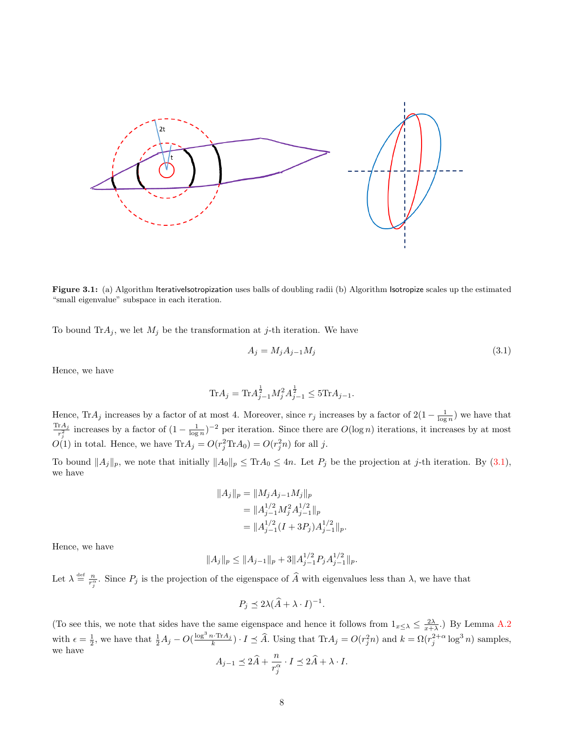

Figure 3.1: (a) Algorithm IterativeIsotropization uses balls of doubling radii (b) Algorithm Isotropize scales up the estimated "small eigenvalue" subspace in each iteration.

To bound  $\text{Tr}A_j$ , we let  $M_j$  be the transformation at j-th iteration. We have

<span id="page-7-0"></span>
$$
A_j = M_j A_{j-1} M_j \tag{3.1}
$$

Hence, we have

$$
\text{Tr}A_j = \text{Tr}A_{j-1}^{\frac{1}{2}}M_j^2 A_{j-1}^{\frac{1}{2}} \le 5\text{Tr}A_{j-1}.
$$

Hence, Tr $A_j$  increases by a factor of at most 4. Moreover, since  $r_j$  increases by a factor of  $2(1-\frac{1}{\log n})$  we have that  $\text{Tr}A_j$  $\frac{d^{r}A_{j}}{r_{j}^{2}}$  increases by a factor of  $(1-\frac{1}{\log n})^{-2}$  per iteration. Since there are  $O(\log n)$  iterations, it increases by at most  $O(1)$  in total. Hence, we have  $\text{Tr}A_j = O(r_j^2 \text{Tr}A_0) = O(r_j^2 n)$  for all j.

To bound  $||A_j||_p$ , we note that initially  $||A_0||_p \leq \text{Tr} A_0 \leq 4n$ . Let  $P_j$  be the projection at j-th iteration. By [\(3.1\)](#page-7-0), we have

$$
||A_j||_p = ||M_j A_{j-1} M_j||_p
$$
  
=  $||A_{j-1}^{1/2} M_j^2 A_{j-1}^{1/2}||_p$   
=  $||A_{j-1}^{1/2} (I + 3P_j) A_{j-1}^{1/2}||_p$ .

Hence, we have

$$
||A_j||_p \le ||A_{j-1}||_p + 3||A_{j-1}^{1/2}P_jA_{j-1}^{1/2}||_p.
$$

Let  $\lambda \stackrel{\text{def}}{=} \frac{n}{r_j^{\alpha}}$ . Since  $P_j$  is the projection of the eigenspace of  $\widehat{A}$  with eigenvalues less than  $\lambda$ , we have that

$$
P_j \preceq 2\lambda(\widehat{A} + \lambda \cdot I)^{-1}.
$$

(To see this, we note that sides have the same eigenspace and hence it follows from  $1_{x\leq \lambda} \leq \frac{2\lambda}{x+\lambda}$ .) By Lemma [A.2](#page-17-0) with  $\epsilon = \frac{1}{2}$ , we have that  $\frac{1}{2}A_j - O(\frac{\log^3 n \cdot \text{Tr}A_j}{k}) \cdot I \leq \widehat{A}$ . Using that  $\text{Tr}A_j = O(r_j^2 n)$  and  $k = \Omega(r_j^{2+\alpha} \log^3 n)$  samples, we have

$$
A_{j-1} \preceq 2\widehat{A} + \frac{n}{r_j^{\alpha}} \cdot I \preceq 2\widehat{A} + \lambda \cdot I.
$$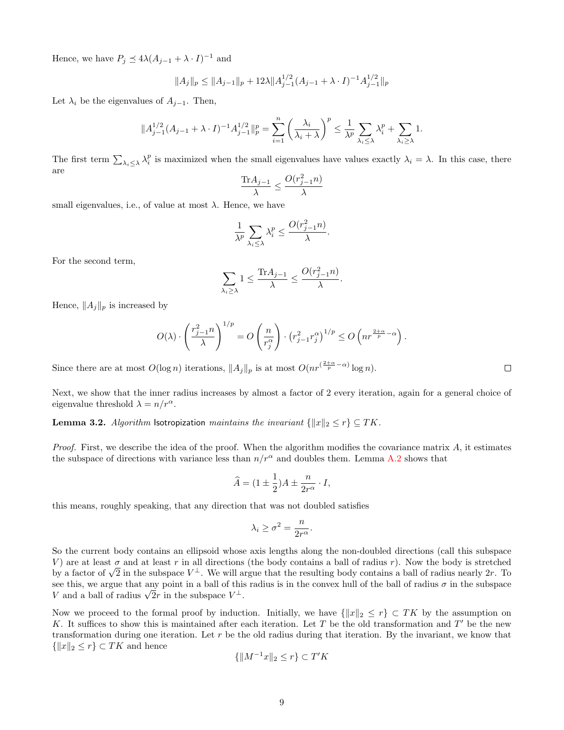Hence, we have  $P_j \preceq 4\lambda(A_{j-1} + \lambda \cdot I)^{-1}$  and

$$
||A_j||_p \le ||A_{j-1}||_p + 12\lambda ||A_{j-1}^{1/2}(A_{j-1} + \lambda \cdot I)^{-1}A_{j-1}^{1/2}||_p
$$

Let  $\lambda_i$  be the eigenvalues of  $A_{i-1}$ . Then,

$$
||A_{j-1}^{1/2}(A_{j-1} + \lambda \cdot I)^{-1}A_{j-1}^{1/2}||_p^p = \sum_{i=1}^n \left(\frac{\lambda_i}{\lambda_i + \lambda}\right)^p \le \frac{1}{\lambda^p} \sum_{\lambda_i \le \lambda} \lambda_i^p + \sum_{\lambda_i \ge \lambda} 1.
$$

The first term  $\sum_{\lambda_i \leq \lambda} \lambda_i^p$  is maximized when the small eigenvalues have values exactly  $\lambda_i = \lambda$ . In this case, there are

$$
\frac{\text{Tr} A_{j-1}}{\lambda} \le \frac{O(r_{j-1}^2 n)}{\lambda}
$$

small eigenvalues, i.e., of value at most  $\lambda$ . Hence, we have

$$
\frac{1}{\lambda^p} \sum_{\lambda_i \leq \lambda} \lambda_i^p \leq \frac{O(r_{j-1}^2 n)}{\lambda}.
$$

For the second term,

$$
\sum_{\lambda_i \ge \lambda} 1 \le \frac{\text{Tr} A_{j-1}}{\lambda} \le \frac{O(r_{j-1}^2 n)}{\lambda}.
$$

Hence,  $||A_j||_p$  is increased by

$$
O(\lambda) \cdot \left(\frac{r_{j-1}^2 n}{\lambda}\right)^{1/p} = O\left(\frac{n}{r_j^{\alpha}}\right) \cdot \left(r_{j-1}^2 r_j^{\alpha}\right)^{1/p} \le O\left(nr^{\frac{2+\alpha}{p}-\alpha}\right).
$$

Since there are at most  $O(\log n)$  iterations,  $||A_j||_p$  is at most  $O(nr^{(\frac{2+\alpha}{p}-\alpha)}\log n)$ .

Next, we show that the inner radius increases by almost a factor of 2 every iteration, again for a general choice of eigenvalue threshold  $\lambda = n/r^{\alpha}$ .

<span id="page-8-0"></span>**Lemma 3.2.** Algorithm Isotropization maintains the invariant  $\{||x||_2 \le r\} \subseteq TK$ .

*Proof.* First, we describe the idea of the proof. When the algorithm modifies the covariance matrix  $A$ , it estimates the subspace of directions with variance less than  $n/r^{\alpha}$  and doubles them. Lemma [A.2](#page-17-0) shows that

$$
\widehat{A} = (1 \pm \frac{1}{2})A \pm \frac{n}{2r^{\alpha}} \cdot I,
$$

this means, roughly speaking, that any direction that was not doubled satisfies

$$
\lambda_i \ge \sigma^2 = \frac{n}{2r^{\alpha}}.
$$

So the current body contains an ellipsoid whose axis lengths along the non-doubled directions (call this subspace V) are at least  $\sigma$  and at least r in all directions (the body contains a ball of radius r). Now the body is stretched v) are at least  $\sigma$  and at least r in all directions (the body contains a ball of radius r). Now the body is stretched<br>by a factor of  $\sqrt{2}$  in the subspace  $V^{\perp}$ . We will argue that the resulting body contains a bal see this, we argue that any point in a ball of this radius is in the convex hull of the ball of radius  $\sigma$  in the subspace see this, we argue that any point in a ball of this  $V$  and a ball of radius  $\sqrt{2}r$  in the subspace  $V^{\perp}$ .

Now we proceed to the formal proof by induction. Initially, we have  $\{|x\|_2 \le r\} \subset TK$  by the assumption on K. It suffices to show this is maintained after each iteration. Let T be the old transformation and  $T'$  be the new transformation during one iteration. Let r be the old radius during that iteration. By the invariant, we know that  $\{\Vert x\Vert_2 \leq r\} \subset TK$  and hence

$$
\{\|M^{-1}x\|_2 \le r\} \subset T'K
$$

 $\Box$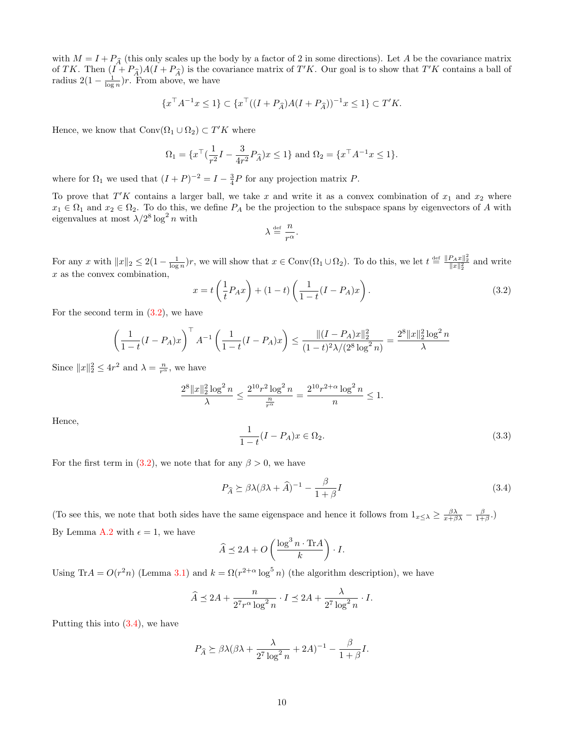with  $M = I + P_{\widehat{A}}$  (this only scales up the body by a factor of 2 in some directions). Let A be the covariance matrix of TK. Then  $(I + P_{\hat{A}})A(I + P_{\hat{A}})$  is the covariance matrix of  $T'K$ . Our goal is to show that  $T'K$  contains a ball of radius  $2(1-\frac{1}{\log n})r$ . From above, we have

$$
\{x^{\top}A^{-1}x \le 1\} \subset \{x^{\top}((I+P_{\widehat{A}})A(I+P_{\widehat{A}}))^{-1}x \le 1\} \subset T'K.
$$

Hence, we know that  $Conv(\Omega_1 \cup \Omega_2) \subset T'K$  where

$$
\Omega_1 = \{ x^\top (\frac{1}{r^2}I - \frac{3}{4r^2}P_{\widehat{A}})x \le 1 \} \text{ and } \Omega_2 = \{ x^\top A^{-1}x \le 1 \}.
$$

where for  $\Omega_1$  we used that  $(I+P)^{-2} = I - \frac{3}{4}P$  for any projection matrix P.

To prove that  $T'K$  contains a larger ball, we take x and write it as a convex combination of  $x_1$  and  $x_2$  where  $x_1 \in \Omega_1$  and  $x_2 \in \Omega_2$ . To do this, we define  $P_A$  be the projection to the subspace spans by eigenvectors of A with eigenvalues at most  $\lambda/2^8 \log^2 n$  with

$$
\lambda \stackrel{\text{def}}{=} \frac{n}{r^{\alpha}}.
$$

For any x with  $||x||_2 \leq 2(1 - \frac{1}{\log n})r$ , we will show that  $x \in Conv(\Omega_1 \cup \Omega_2)$ . To do this, we let  $t \stackrel{\text{def}}{=} \frac{||P_A x||_2^2}{||x||_2^2}$  and write x as the convex combination,

<span id="page-9-0"></span>
$$
x = t\left(\frac{1}{t}P_Ax\right) + (1-t)\left(\frac{1}{1-t}(I-P_A)x\right). \tag{3.2}
$$

For the second term in  $(3.2)$ , we have

$$
\left(\frac{1}{1-t}(I-P_A)x\right)^{\top} A^{-1} \left(\frac{1}{1-t}(I-P_A)x\right) \le \frac{\|(I-P_A)x\|_2^2}{(1-t)^2\lambda/(2^8\log^2 n)} = \frac{2^8\|x\|_2^2\log^2 n}{\lambda}
$$

Since  $||x||_2^2 \le 4r^2$  and  $\lambda = \frac{n}{r^{\alpha}}$ , we have

$$
\frac{2^8 \|x\|_2^2 \log^2 n}{\lambda} \le \frac{2^{10} r^2 \log^2 n}{\frac{n}{r^{\alpha}}} = \frac{2^{10} r^{2+\alpha} \log^2 n}{n} \le 1.
$$

Hence,

<span id="page-9-2"></span>
$$
\frac{1}{1-t}(I - P_A)x \in \Omega_2.
$$
\n(3.3)

For the first term in [\(3.2\)](#page-9-0), we note that for any  $\beta > 0$ , we have

<span id="page-9-1"></span>
$$
P_{\widehat{A}} \succeq \beta \lambda (\beta \lambda + \widehat{A})^{-1} - \frac{\beta}{1 + \beta} I \tag{3.4}
$$

(To see this, we note that both sides have the same eigenspace and hence it follows from  $1_{x\leq \lambda} \geq \frac{\beta \lambda}{x+\beta \lambda} - \frac{\beta}{1+\beta}$ .) By Lemma [A.2](#page-17-0) with  $\epsilon = 1$ , we have

$$
\widehat{A} \preceq 2A + O\left(\frac{\log^3 n \cdot \text{Tr}A}{k}\right) \cdot I.
$$

Using Tr $A = O(r^2n)$  (Lemma [3.1\)](#page-6-0) and  $k = \Omega(r^{2+\alpha} \log^5 n)$  (the algorithm description), we have

$$
\widehat{A} \preceq 2A + \frac{n}{2^7 r^{\alpha} \log^2 n} \cdot I \preceq 2A + \frac{\lambda}{2^7 \log^2 n} \cdot I.
$$

Putting this into [\(3.4\)](#page-9-1), we have

$$
P_{\widehat{A}} \succeq \beta \lambda (\beta \lambda + \frac{\lambda}{2^7 \log^2 n} + 2A)^{-1} - \frac{\beta}{1 + \beta} I.
$$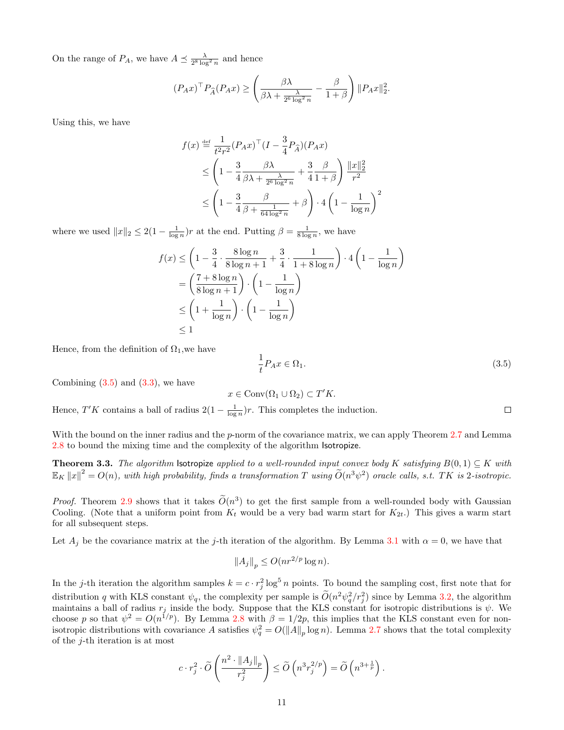On the range of  $P_A$ , we have  $A \preceq \frac{\lambda}{2^8 \log^2 n}$  and hence

$$
(P_A x)^\top P_{\widehat{A}}(P_A x) \ge \left(\frac{\beta \lambda}{\beta \lambda + \frac{\lambda}{2^6 \log^2 n}} - \frac{\beta}{1 + \beta}\right) ||P_A x||_2^2.
$$

Using this, we have

$$
f(x) \stackrel{\text{def}}{=} \frac{1}{t^2 r^2} (P_A x)^\top (I - \frac{3}{4} P_{\widehat{A}})(P_A x)
$$
  
\n
$$
\leq \left(1 - \frac{3}{4} \frac{\beta \lambda}{\beta \lambda + \frac{\lambda}{2^6 \log^2 n}} + \frac{3}{4} \frac{\beta}{1 + \beta}\right) \frac{\|x\|_2^2}{r^2}
$$
  
\n
$$
\leq \left(1 - \frac{3}{4} \frac{\beta}{\beta + \frac{1}{64 \log^2 n}} + \beta\right) \cdot 4 \left(1 - \frac{1}{\log n}\right)^2
$$

where we used  $||x||_2 \leq 2(1 - \frac{1}{\log n})r$  at the end. Putting  $\beta = \frac{1}{8 \log n}$ , we have

$$
f(x) \le \left(1 - \frac{3}{4} \cdot \frac{8\log n}{8\log n + 1} + \frac{3}{4} \cdot \frac{1}{1 + 8\log n}\right) \cdot 4\left(1 - \frac{1}{\log n}\right)
$$
  
=  $\left(\frac{7 + 8\log n}{8\log n + 1}\right) \cdot \left(1 - \frac{1}{\log n}\right)$   
 $\le \left(1 + \frac{1}{\log n}\right) \cdot \left(1 - \frac{1}{\log n}\right)$   
 $\le 1$ 

Hence, from the definition of  $\Omega_1$ , we have

<span id="page-10-0"></span>
$$
\frac{1}{t}P_Ax \in \Omega_1. \tag{3.5}
$$

Combining  $(3.5)$  and  $(3.3)$ , we have

 $x \in \text{Conv}(\Omega_1 \cup \Omega_2) \subset T'K$ .

Hence,  $T'K$  contains a ball of radius  $2(1 - \frac{1}{\log n})r$ . This completes the induction.

With the bound on the inner radius and the p-norm of the covariance matrix, we can apply Theorem [2.7](#page-4-0) and Lemma [2.8](#page-5-0) to bound the mixing time and the complexity of the algorithm Isotropize.

<span id="page-10-1"></span>**Theorem 3.3.** The algorithm Isotropize applied to a well-rounded input convex body K satisfying  $B(0,1) \subseteq K$  with  $\mathbb{E}_K \|x\|^2 = O(n)$ , with high probability, finds a transformation T using  $\widetilde{O}(n^3\psi^2)$  oracle calls, s.t. TK is 2-isotropic.

*Proof.* Theorem [2.9](#page-5-1) shows that it takes  $\tilde{O}(n^3)$  to get the first sample from a well-rounded body with Gaussian Cooling. (Note that a uniform point from  $K_t$  would be a very bad warm start for  $K_{2t}$ .) This gives a warm start for all subsequent steps.

Let  $A_j$  be the covariance matrix at the j-th iteration of the algorithm. By Lemma [3.1](#page-6-0) with  $\alpha = 0$ , we have that

$$
||A_j||_p \le O(nr^{2/p}\log n).
$$

In the j-th iteration the algorithm samples  $k = c \cdot r_j^2 \log^5 n$  points. To bound the sampling cost, first note that for distribution q with KLS constant  $\psi_q$ , the complexity per sample is  $O(n^2\psi_q^2/r_j^2)$  since by Lemma [3.2,](#page-8-0) the algorithm maintains a ball of radius  $r_j$  inside the body. Suppose that the KLS constant for isotropic distributions is  $\psi$ . We choose p so that  $\psi^2 = O(n^{1/p})$ . By Lemma [2.8](#page-5-0) with  $\beta = 1/2p$ , this implies that the KLS constant even for nonisotropic distributions with covariance A satisfies  $\psi_q^2 = O(||A||_p \log n)$ . Lemma [2.7](#page-4-0) shows that the total complexity of the  $j$ -th iteration is at most

$$
c \cdot r_j^2 \cdot \widetilde{O}\left(\frac{n^2 \cdot \|A_j\|_p}{r_j^2}\right) \le \widetilde{O}\left(n^3 r_j^{2/p}\right) = \widetilde{O}\left(n^{3 + \frac{1}{p}}\right).
$$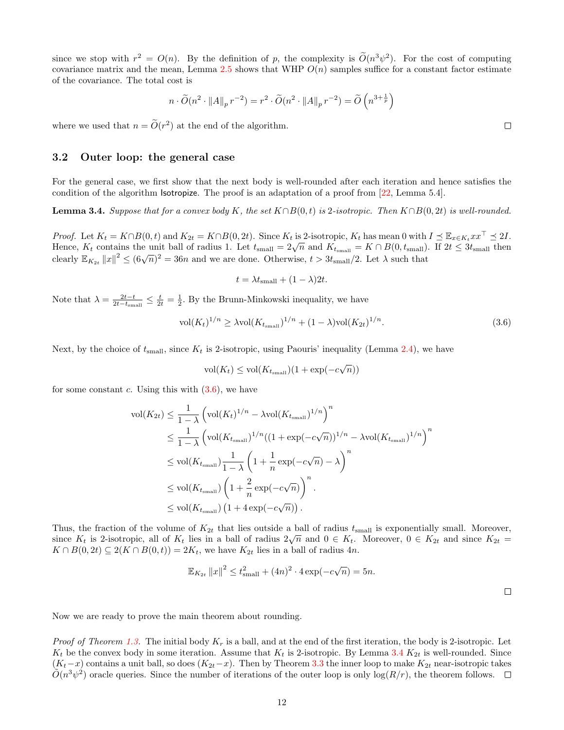since we stop with  $r^2 = O(n)$ . By the definition of p, the complexity is  $O(n^3\psi^2)$ . For the cost of computing covariance matrix and the mean, Lemma [2.5](#page-4-1) shows that WHP  $O(n)$  samples suffice for a constant factor estimate of the covariance. The total cost is

$$
n \cdot \widetilde{O}(n^2 \cdot ||A||_p r^{-2}) = r^2 \cdot \widetilde{O}(n^2 \cdot ||A||_p r^{-2}) = \widetilde{O}\left(n^{3 + \frac{1}{p}}\right)
$$

where we used that  $n = \tilde{O}(r^2)$  at the end of the algorithm.

#### 3.2 Outer loop: the general case

For the general case, we first show that the next body is well-rounded after each iteration and hence satisfies the condition of the algorithm Isotropize. The proof is an adaptation of a proof from [\[22,](#page-16-15) Lemma 5.4].

<span id="page-11-0"></span>**Lemma 3.4.** Suppose that for a convex body K, the set  $K \cap B(0, t)$  is 2-isotropic. Then  $K \cap B(0, 2t)$  is well-rounded.

*Proof.* Let  $K_t = K \cap B(0, t)$  and  $K_{2t} = K \cap B(0, 2t)$ . Since  $K_t$  is 2-isotropic,  $K_t$  has mean 0 with  $I \preceq \mathbb{E}_{x \in K_t} x x^{\perp} \preceq 2I$ . *Hoof.* Let  $K_t = K | D(0, t)$  and  $K_{2t} = K | D(0, 2t)$ . Since  $K_t$  is 2-isotropic,  $K_t$  has mean 0 with  $T \geq \mathbb{E}_x \in K_t x$ .  $T \geq 2T$ .<br>Hence,  $K_t$  contains the unit ball of radius 1. Let  $t_{\text{small}} = 2\sqrt{n}$  and  $K_{t_{\text{small}}} = K \cap B(0, t$ clearly  $\mathbb{E}_{K_{2t}} ||x||^2 \leq (6\sqrt{n})^2 = 36n$  and we are done. Otherwise,  $t > 3t_{\text{small}}/2$ . Let  $\lambda$  such that

$$
t = \lambda t_{\text{small}} + (1 - \lambda)2t.
$$

Note that  $\lambda = \frac{2t-t}{2t-t_{\text{small}}} \le \frac{t}{2t} = \frac{1}{2}$ . By the Brunn-Minkowski inequality, we have

<span id="page-11-1"></span>
$$
\text{vol}(K_t)^{1/n} \ge \lambda \text{vol}(K_{t_{\text{small}}})^{1/n} + (1 - \lambda) \text{vol}(K_{2t})^{1/n}.
$$
\n(3.6)

Next, by the choice of  $t_{\text{small}}$ , since  $K_t$  is 2-isotropic, using Paouris' inequality (Lemma [2.4\)](#page-4-2), we have

$$
\text{vol}(K_t) \le \text{vol}(K_{t_{\text{small}}})(1 + \exp(-c\sqrt{n}))
$$

for some constant c. Using this with  $(3.6)$ , we have

$$
\operatorname{vol}(K_{2t}) \leq \frac{1}{1-\lambda} \left( \operatorname{vol}(K_t)^{1/n} - \lambda \operatorname{vol}(K_{t_{\text{small}}})^{1/n} \right)^n
$$
  
\n
$$
\leq \frac{1}{1-\lambda} \left( \operatorname{vol}(K_{t_{\text{small}}})^{1/n} ((1 + \exp(-c\sqrt{n}))^{1/n} - \lambda \operatorname{vol}(K_{t_{\text{small}}})^{1/n} \right)^n
$$
  
\n
$$
\leq \operatorname{vol}(K_{t_{\text{small}}}) \frac{1}{1-\lambda} \left( 1 + \frac{1}{n} \exp(-c\sqrt{n}) - \lambda \right)^n
$$
  
\n
$$
\leq \operatorname{vol}(K_{t_{\text{small}}}) \left( 1 + \frac{2}{n} \exp(-c\sqrt{n}) \right)^n.
$$
  
\n
$$
\leq \operatorname{vol}(K_{t_{\text{small}}}) (1 + 4 \exp(-c\sqrt{n})).
$$

Thus, the fraction of the volume of  $K_{2t}$  that lies outside a ball of radius  $t_{\text{small}}$  is exponentially small. Moreover, Thus, the fraction of the volume of  $K_{2t}$  that hes outside a ball of radius  $t_{\text{small}}$  is exponentially small. Moreover,  $K_t$  is 2-isotropic, all of  $K_t$  lies in a ball of radius  $2\sqrt{n}$  and  $0 \in K_t$ . Moreover,  $0 \in K_{2t}$  $K \cap B(0, 2t) \subseteq 2(K \cap B(0, t)) = 2K_t$ , we have  $K_{2t}$  lies in a ball of radius  $4n$ .

$$
\mathbb{E}_{K_{2t}} \|x\|^2 \le t_{\text{small}}^2 + (4n)^2 \cdot 4 \exp(-c\sqrt{n}) = 5n.
$$

 $\Box$ 

Now we are ready to prove the main theorem about rounding.

*Proof of Theorem [1.3.](#page-2-0)* The initial body  $K_r$  is a ball, and at the end of the first iteration, the body is 2-isotropic. Let  $K_t$  be the convex body in some iteration. Assume that  $K_t$  is 2-isotropic. By Lemma [3.4](#page-11-0)  $K_{2t}$  is well-rounded. Since  $(K_t-x)$  contains a unit ball, so does  $(K_{2t}-x)$ . Then by Theorem [3.3](#page-10-1) the inner loop to make  $K_{2t}$  near-isotropic takes  $\tilde{O}(n^3\psi^2)$  oracle queries. Since the number of iterations of the outer loop is only  $\log(R/r)$ , the theorem follows.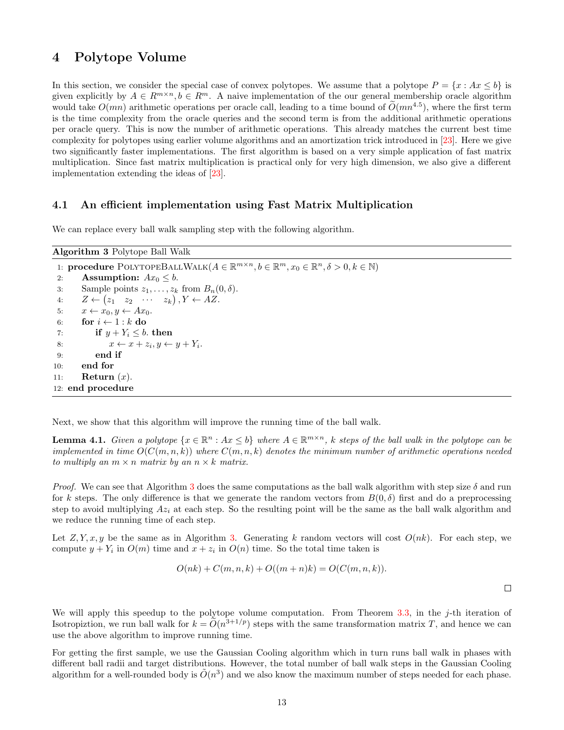## 4 Polytope Volume

In this section, we consider the special case of convex polytopes. We assume that a polytope  $P = \{x : Ax \leq b\}$  is given explicitly by  $A \in R^{m \times n}, b \in R^m$ . A naive implementation of the our general membership oracle algorithm would take  $O(mn)$  arithmetic operations per oracle call, leading to a time bound of  $\tilde{O}(mn^{4.5})$ , where the first term is the time complexity from the oracle queries and the second term is from the additional arithmetic operations per oracle query. This is now the number of arithmetic operations. This already matches the current best time complexity for polytopes using earlier volume algorithms and an amortization trick introduced in [\[23\]](#page-16-10). Here we give two significantly faster implementations. The first algorithm is based on a very simple application of fast matrix multiplication. Since fast matrix multiplication is practical only for very high dimension, we also give a different implementation extending the ideas of [\[23\]](#page-16-10).

### 4.1 An efficient implementation using Fast Matrix Multiplication

We can replace every ball walk sampling step with the following algorithm.

<span id="page-12-0"></span>

| <b>Algorithm 3</b> Polytope Ball Walk                                                                                                          |
|------------------------------------------------------------------------------------------------------------------------------------------------|
| 1: <b>procedure</b> POLYTOPEBALLWALK $(A \in \mathbb{R}^{m \times n}, b \in \mathbb{R}^m, x_0 \in \mathbb{R}^n, \delta > 0, k \in \mathbb{N})$ |
| <b>Assumption:</b> $Ax_0 \leq b$ .<br>2:                                                                                                       |
| Sample points $z_1, \ldots, z_k$ from $B_n(0, \delta)$ .<br>3:                                                                                 |
| $Z \leftarrow (z_1 \quad z_2 \quad \cdots \quad z_k), Y \leftarrow AZ.$<br>4:                                                                  |
| $x \leftarrow x_0, y \leftarrow Ax_0.$<br>5:                                                                                                   |
| for $i \leftarrow 1 : k$ do<br>6:                                                                                                              |
| if $y + Y_i \leq b$ , then<br>7:                                                                                                               |
| $x \leftarrow x + z_i, y \leftarrow y + Y_i.$<br>8:                                                                                            |
| end if<br>9:                                                                                                                                   |
| end for<br>10:                                                                                                                                 |
| Return $(x)$ .<br>11:                                                                                                                          |
| 12: end procedure                                                                                                                              |

Next, we show that this algorithm will improve the running time of the ball walk.

**Lemma 4.1.** Given a polytope  $\{x \in \mathbb{R}^n : Ax \leq b\}$  where  $A \in \mathbb{R}^{m \times n}$ , k steps of the ball walk in the polytope can be implemented in time  $O(C(m, n, k))$  where  $C(m, n, k)$  denotes the minimum number of arithmetic operations needed to multiply an  $m \times n$  matrix by an  $n \times k$  matrix.

*Proof.* We can see that Algorithm [3](#page-12-0) does the same computations as the ball walk algorithm with step size  $\delta$  and run for k steps. The only difference is that we generate the random vectors from  $B(0, \delta)$  first and do a preprocessing step to avoid multiplying  $Az_i$  at each step. So the resulting point will be the same as the ball walk algorithm and we reduce the running time of each step.

Let  $Z, Y, x, y$  be the same as in Algorithm [3.](#page-12-0) Generating k random vectors will cost  $O(nk)$ . For each step, we compute  $y + Y_i$  in  $O(m)$  time and  $x + z_i$  in  $O(n)$  time. So the total time taken is

$$
O(nk) + C(m, n, k) + O((m+n)k) = O(C(m, n, k)).
$$

 $\Box$ 

We will apply this speedup to the polytope volume computation. From Theorem [3.3,](#page-10-1) in the j-th iteration of Isotropizion, we run ball walk for  $k = \tilde{O}(n^{3+1/p})$  steps with the same transformation matrix T, and hence we can use the above algorithm to improve running time.

For getting the first sample, we use the Gaussian Cooling algorithm which in turn runs ball walk in phases with different ball radii and target distributions. However, the total number of ball walk steps in the Gaussian Cooling algorithm for a well-rounded body is  $\tilde{O}(n^3)$  and we also know the maximum number of steps needed for each phase.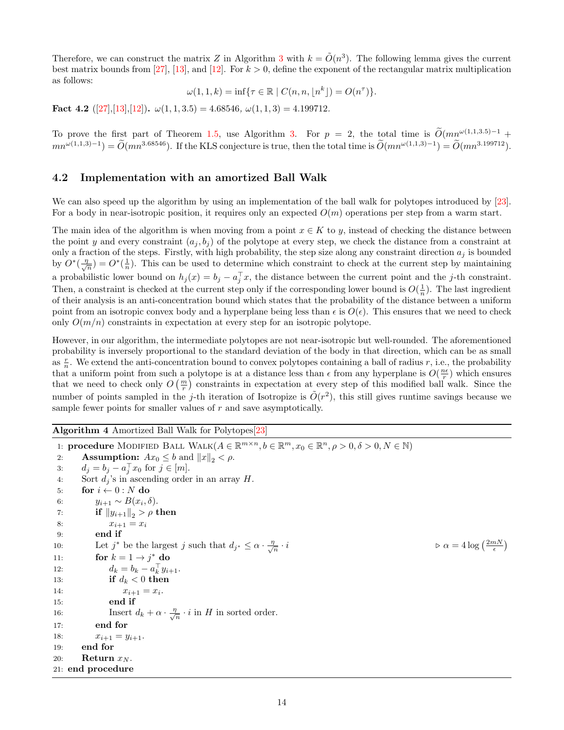Therefore, we can construct the matrix Z in Algorithm [3](#page-12-0) with  $k = \tilde{O}(n^3)$ . The following lemma gives the current best matrix bounds from [\[27\]](#page-17-2), [\[13\]](#page-16-16), and [\[12\]](#page-16-12). For  $k > 0$ , define the exponent of the rectangular matrix multiplication as follows:

$$
\omega(1, 1, k) = \inf \{ \tau \in \mathbb{R} \mid C(n, n, \lfloor n^k \rfloor) = O(n^{\tau}) \}.
$$

Fact 4.2  $([27],[13],[12])$  $([27],[13],[12])$  $([27],[13],[12])$  $([27],[13],[12])$  $([27],[13],[12])$  $([27],[13],[12])$  $([27],[13],[12])$ .  $\omega(1,1,3.5) = 4.68546$ ,  $\omega(1,1,3) = 4.199712$ .

To prove the first part of Theorem [1.5,](#page-3-0) use Algorithm [3.](#page-12-0) For  $p = 2$ , the total time is  $O(mn^{\omega(1,1,3.5)-1} +$  $mn^{\omega(1,1,3)-1} = \tilde{O}(mn^{3.68546})$ . If the KLS conjecture is true, then the total time is  $\tilde{O}(mn^{\omega(1,1,3)-1}) = \tilde{O}(mn^{3.199712})$ .

### 4.2 Implementation with an amortized Ball Walk

We can also speed up the algorithm by using an implementation of the ball walk for polytopes introduced by [\[23\]](#page-16-10). For a body in near-isotropic position, it requires only an expected  $O(m)$  operations per step from a warm start.

The main idea of the algorithm is when moving from a point  $x \in K$  to y, instead of checking the distance between the point y and every constraint  $(a_j, b_j)$  of the polytope at every step, we check the distance from a constraint at only a fraction of the steps. Firstly, with high probability, the step size along any constraint direction  $a_i$  is bounded by  $O^*(\frac{\eta}{\sqrt{2}})$  $\frac{n}{n}$ ) =  $O^*(\frac{1}{n})$ . This can be used to determine which constraint to check at the current step by maintaining a probabilistic lower bound on  $h_j(x) = b_j - a_j^{\top}x$ , the distance between the current point and the j-th constraint. Then, a constraint is checked at the current step only if the corresponding lower bound is  $O(\frac{1}{n})$ . The last ingredient of their analysis is an anti-concentration bound which states that the probability of the distance between a uniform point from an isotropic convex body and a hyperplane being less than  $\epsilon$  is  $O(\epsilon)$ . This ensures that we need to check only  $O(m/n)$  constraints in expectation at every step for an isotropic polytope.

However, in our algorithm, the intermediate polytopes are not near-isotropic but well-rounded. The aforementioned probability is inversely proportional to the standard deviation of the body in that direction, which can be as small as  $\frac{r}{n}$ . We extend the anti-concentration bound to convex polytopes containing a ball of radius r, i.e., the probability that a uniform point from such a polytope is at a distance less than  $\epsilon$  from any hyperplane is  $O(\frac{n\epsilon}{r})$  which ensures that we need to check only  $O(\frac{m}{r})$  constraints in expectation at every step of this modified ball walk. Since the number of points sampled in the j-th iteration of Isotropize is  $\tilde{O}(r^2)$ , this still gives runtime savings because we sample fewer points for smaller values of  $r$  and save asymptotically.

<span id="page-13-0"></span>Algorithm 4 Amortized Ball Walk for Polytopes[\[23\]](#page-16-10)

1: **procedure** MODIFIED BALL WALK $(A \in \mathbb{R}^{m \times n}, b \in \mathbb{R}^m, x_0 \in \mathbb{R}^n, \rho > 0, \delta > 0, N \in \mathbb{N})$ 2: **Assumption:**  $Ax_0 \leq b$  and  $||x||_2 < \rho$ . 3:  $d_j = b_j - a_j^\top x_0$  for  $j \in [m]$ . 4: Sort  $d_i$ 's in ascending order in an array H. 5: for  $i \leftarrow 0 : N$  do 6:  $y_{i+1} \sim B(x_i, \delta).$ 7: **if**  $||y_{i+1}||_2 > \rho$  then 8:  $x_{i+1} = x_i$ 9: end if 10: Let  $j^*$  be the largest j such that  $d_{j^*} \leq \alpha \cdot \frac{\eta}{\sqrt{n}}$  $\overline{n}$  $\cdot i$   $\triangleright \alpha = 4 \log \left( \frac{2mN}{\epsilon} \right)$ 11: for  $k = 1 \rightarrow j^*$  do 12:  $d_k = b_k - a_k^{\top} y_{i+1}.$ 13: if  $d_k < 0$  then 14:  $x_{i+1} = x_i$ . 15: end if 16: Insert  $d_k + \alpha \cdot \frac{\eta}{\sqrt{k}}$  $\frac{l}{n} \cdot i$  in H in sorted order. 17: end for 18:  $x_{i+1} = y_{i+1}.$ 19: end for 20: **Return**  $x_N$ . 21: end procedure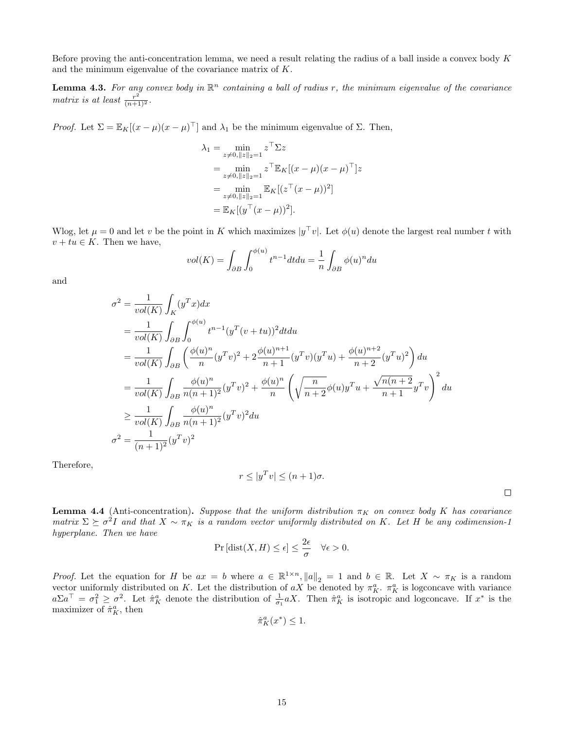Before proving the anti-concentration lemma, we need a result relating the radius of a ball inside a convex body  $K$ and the minimum eigenvalue of the covariance matrix of K.

**Lemma 4.3.** For any convex body in  $\mathbb{R}^n$  containing a ball of radius r, the minimum eigenvalue of the covariance matrix is at least  $\frac{r^2}{(n+1)^2}$ .

Proof. Let  $\Sigma = \mathbb{E}_K[(x - \mu)(x - \mu)^{\top}]$  and  $\lambda_1$  be the minimum eigenvalue of  $\Sigma$ . Then,

$$
\lambda_1 = \min_{z \neq 0, ||z||_2 = 1} z^{\top} \Sigma z
$$
  
= 
$$
\min_{z \neq 0, ||z||_2 = 1} z^{\top} \mathbb{E}_K [(x - \mu)(x - \mu)^{\top}] z
$$
  
= 
$$
\min_{z \neq 0, ||z||_2 = 1} \mathbb{E}_K [(z^{\top}(x - \mu))^2]
$$
  
= 
$$
\mathbb{E}_K [(y^{\top}(x - \mu))^2].
$$

Wlog, let  $\mu = 0$  and let v be the point in K which maximizes  $|y^\top v|$ . Let  $\phi(u)$  denote the largest real number t with  $v + tu \in K$ . Then we have,

$$
vol(K) = \int_{\partial B} \int_0^{\phi(u)} t^{n-1} dt du = \frac{1}{n} \int_{\partial B} \phi(u)^n du
$$

and

$$
\sigma^2 = \frac{1}{vol(K)} \int_K (y^T x) dx
$$
  
\n
$$
= \frac{1}{vol(K)} \int_{\partial B} \int_0^{\phi(u)} t^{n-1} (y^T (v + tu))^2 dt du
$$
  
\n
$$
= \frac{1}{vol(K)} \int_{\partial B} \left( \frac{\phi(u)^n}{n} (y^T v)^2 + 2 \frac{\phi(u)^{n+1}}{n+1} (y^T v) (y^T u) + \frac{\phi(u)^{n+2}}{n+2} (y^T u)^2 \right) du
$$
  
\n
$$
= \frac{1}{vol(K)} \int_{\partial B} \frac{\phi(u)^n}{n(n+1)^2} (y^T v)^2 + \frac{\phi(u)^n}{n} \left( \sqrt{\frac{n}{n+2}} \phi(u) y^T u + \frac{\sqrt{n(n+2}}{n+1} y^T v \right)^2 du
$$
  
\n
$$
\geq \frac{1}{vol(K)} \int_{\partial B} \frac{\phi(u)^n}{n(n+1)^2} (y^T v)^2 du
$$
  
\n
$$
\sigma^2 = \frac{1}{(n+1)^2} (y^T v)^2
$$

Therefore,

$$
r \le |y^T v| \le (n+1)\sigma.
$$

 $\Box$ 

<span id="page-14-0"></span>**Lemma 4.4** (Anti-concentration). Suppose that the uniform distribution  $\pi_K$  on convex body K has covariance matrix  $\Sigma \succeq \sigma^2 I$  and that  $X \sim \pi_K$  is a random vector uniformly distributed on K. Let H be any codimension-1 hyperplane. Then we have

$$
\Pr\left[\text{dist}(X, H) \le \epsilon\right] \le \frac{2\epsilon}{\sigma} \quad \forall \epsilon > 0.
$$

*Proof.* Let the equation for H be  $ax = b$  where  $a \in \mathbb{R}^{1 \times n}$ ,  $||a||_2 = 1$  and  $b \in \mathbb{R}$ . Let  $X \sim \pi_K$  is a random vector uniformly distributed on K. Let the distribution of  $aX$  be denoted by  $\pi_K^a$ .  $\pi_K^a$  is logconcave with variance  $a\Sigma a^{\top} = \sigma_1^2 \geq \sigma^2$ . Let  $\hat{\pi}_K^a$  denote the distribution of  $\frac{1}{\sigma_1} aX$ . Then  $\hat{\pi}_K^a$  is isotropic and logconcave. If  $x^*$  is the maximizer of  $\hat{\pi}_K^a$ , then

$$
\hat{\pi}_K^a(x^*) \le 1.
$$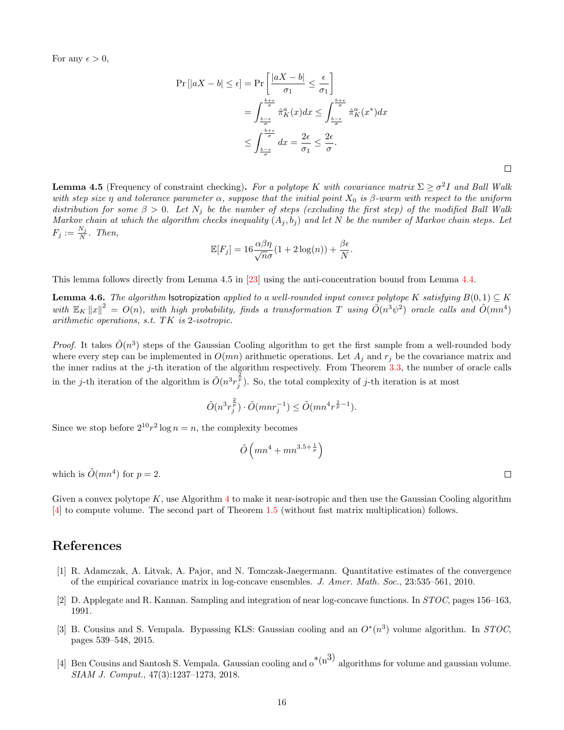For any  $\epsilon > 0$ ,

$$
\Pr\left[|aX - b| \le \epsilon\right] = \Pr\left[\frac{|aX - b|}{\sigma_1} \le \frac{\epsilon}{\sigma_1}\right]
$$

$$
= \int_{\frac{b-\epsilon}{\sigma}}^{\frac{b+\epsilon}{\sigma}} \hat{\pi}_K^a(x) dx \le \int_{\frac{b-\epsilon}{\sigma}}^{\frac{b+\epsilon}{\sigma}} \hat{\pi}_K^a(x^*) dx
$$

$$
\le \int_{\frac{b-\epsilon}{\sigma}}^{\frac{b+\epsilon}{\sigma}} dx = \frac{2\epsilon}{\sigma_1} \le \frac{2\epsilon}{\sigma}.
$$

**Lemma 4.5** (Frequency of constraint checking). For a polytope K with covariance matrix  $\Sigma \ge \sigma^2 I$  and Ball Walk with step size  $\eta$  and tolerance parameter  $\alpha$ , suppose that the initial point  $X_0$  is  $\beta$ -warm with respect to the uniform distribution for some  $\beta > 0$ . Let  $N_j$  be the number of steps (excluding the first step) of the modified Ball Walk Markov chain at which the algorithm checks inequality  $(A_j, b_j)$  and let N be the number of Markov chain steps. Let  $F_j := \frac{N_j}{N}$ . Then,

$$
\mathbb{E}[F_j] = 16 \frac{\alpha \beta \eta}{\sqrt{n}\sigma} (1 + 2 \log(n)) + \frac{\beta \epsilon}{N}
$$

.

This lemma follows directly from Lemma 4.5 in [\[23\]](#page-16-10) using the anti-concentration bound from Lemma [4.4.](#page-14-0)

**Lemma 4.6.** The algorithm Isotropization applied to a well-rounded input convex polytope K satisfying  $B(0,1) \subseteq K$ with  $\mathbb{E}_K ||x||^2 = O(n)$ , with high probability, finds a transformation T using  $\tilde{O}(n^3\psi^2)$  oracle calls and  $\tilde{O}(mn^4)$ arithmetic operations, s.t. TK is 2-isotropic.

*Proof.* It takes  $\tilde{O}(n^3)$  steps of the Gaussian Cooling algorithm to get the first sample from a well-rounded body where every step can be implemented in  $O(mn)$  arithmetic operations. Let  $A_j$  and  $r_j$  be the covariance matrix and the inner radius at the  $j$ -th iteration of the algorithm respectively. From Theorem  $3.3$ , the number of oracle calls in the j-th iteration of the algorithm is  $\tilde{O}(n^3 r_j^{\frac{2}{p}})$ . So, the total complexity of j-th iteration is at most

$$
\tilde{O}(n^3 r_j^{\frac{2}{p}}) \cdot \tilde{O}(mnr_j^{-1}) \le \tilde{O}(mn^4 r^{\frac{2}{p}-1}).
$$

Since we stop before  $2^{10}r^2 \log n = n$ , the complexity becomes

$$
\tilde{O}\left(mn^4 + mn^{3.5 + \frac{1}{p}}\right)
$$

which is  $\tilde{O}(mn^4)$  for  $p=2$ .

Given a convex polytope  $K$ , use Algorithm [4](#page-13-0) to make it near-isotropic and then use the Gaussian Cooling algorithm [\[4\]](#page-15-3) to compute volume. The second part of Theorem [1.5](#page-3-0) (without fast matrix multiplication) follows.

## References

- <span id="page-15-2"></span>[1] R. Adamczak, A. Litvak, A. Pajor, and N. Tomczak-Jaegermann. Quantitative estimates of the convergence of the empirical covariance matrix in log-concave ensembles. J. Amer. Math. Soc., 23:535–561, 2010.
- <span id="page-15-0"></span>[2] D. Applegate and R. Kannan. Sampling and integration of near log-concave functions. In STOC, pages 156–163, 1991.
- <span id="page-15-1"></span>[3] B. Cousins and S. Vempala. Bypassing KLS: Gaussian cooling and an  $O^*(n^3)$  volume algorithm. In STOC, pages 539–548, 2015.
- <span id="page-15-3"></span>[4] Ben Cousins and Santosh S. Vempala. Gaussian cooling and  $\delta^{*(n^3)}$  algorithms for volume and gaussian volume. SIAM J. Comput., 47(3):1237–1273, 2018.

 $\Box$ 

 $\Box$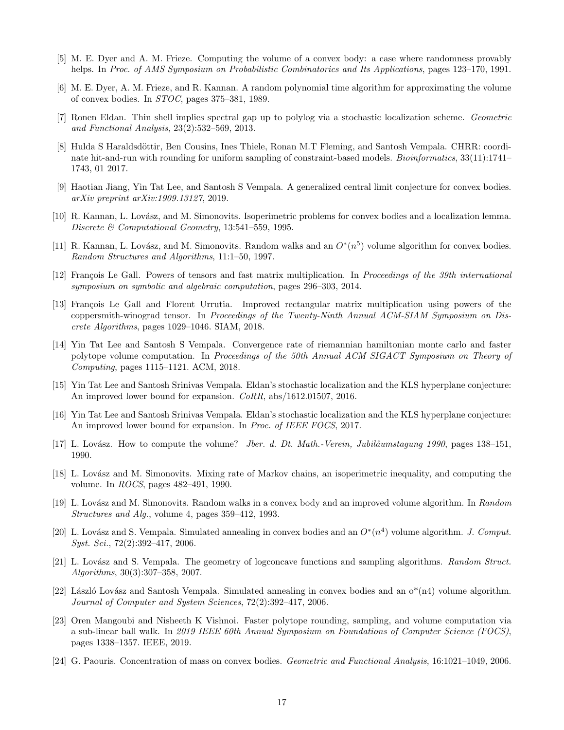- <span id="page-16-4"></span>[5] M. E. Dyer and A. M. Frieze. Computing the volume of a convex body: a case where randomness provably helps. In Proc. of AMS Symposium on Probabilistic Combinatorics and Its Applications, pages 123–170, 1991.
- <span id="page-16-1"></span>[6] M. E. Dyer, A. M. Frieze, and R. Kannan. A random polynomial time algorithm for approximating the volume of convex bodies. In STOC, pages 375–381, 1989.
- <span id="page-16-18"></span>[7] Ronen Eldan. Thin shell implies spectral gap up to polylog via a stochastic localization scheme. Geometric and Functional Analysis, 23(2):532–569, 2013.
- <span id="page-16-0"></span>[8] Hulda S Haraldsdöttir, Ben Cousins, Ines Thiele, Ronan M.T Fleming, and Santosh Vempala. CHRR: coordinate hit-and-run with rounding for uniform sampling of constraint-based models. *Bioinformatics*, 33(11):1741– 1743, 01 2017.
- <span id="page-16-19"></span>[9] Haotian Jiang, Yin Tat Lee, and Santosh S Vempala. A generalized central limit conjecture for convex bodies. arXiv preprint arXiv:1909.13127, 2019.
- <span id="page-16-8"></span>[10] R. Kannan, L. Lovász, and M. Simonovits. Isoperimetric problems for convex bodies and a localization lemma. Discrete & Computational Geometry, 13:541–559, 1995.
- <span id="page-16-6"></span>[11] R. Kannan, L. Lovász, and M. Simonovits. Random walks and an  $O^*(n^5)$  volume algorithm for convex bodies. Random Structures and Algorithms, 11:1–50, 1997.
- <span id="page-16-12"></span>[12] François Le Gall. Powers of tensors and fast matrix multiplication. In Proceedings of the 39th international symposium on symbolic and algebraic computation, pages 296–303, 2014.
- <span id="page-16-16"></span>[13] François Le Gall and Florent Urrutia. Improved rectangular matrix multiplication using powers of the coppersmith-winograd tensor. In Proceedings of the Twenty-Ninth Annual ACM-SIAM Symposium on Discrete Algorithms, pages 1029–1046. SIAM, 2018.
- <span id="page-16-11"></span>[14] Yin Tat Lee and Santosh S Vempala. Convergence rate of riemannian hamiltonian monte carlo and faster polytope volume computation. In Proceedings of the 50th Annual ACM SIGACT Symposium on Theory of Computing, pages 1115–1121. ACM, 2018.
- <span id="page-16-17"></span>[15] Yin Tat Lee and Santosh Srinivas Vempala. Eldan's stochastic localization and the KLS hyperplane conjecture: An improved lower bound for expansion. *CoRR*, abs/1612.01507, 2016.
- <span id="page-16-9"></span>[16] Yin Tat Lee and Santosh Srinivas Vempala. Eldan's stochastic localization and the KLS hyperplane conjecture: An improved lower bound for expansion. In *Proc. of IEEE FOCS*, 2017.
- <span id="page-16-3"></span>[17] L. Lovász. How to compute the volume? Jber. d. Dt. Math.-Verein, Jubiläumstagung 1990, pages 138–151, 1990.
- <span id="page-16-2"></span>[18] L. Lovász and M. Simonovits. Mixing rate of Markov chains, an isoperimetric inequality, and computing the volume. In ROCS, pages 482–491, 1990.
- <span id="page-16-5"></span>[19] L. Lov´asz and M. Simonovits. Random walks in a convex body and an improved volume algorithm. In Random Structures and Alg., volume 4, pages 359–412, 1993.
- <span id="page-16-7"></span>[20] L. Lovász and S. Vempala. Simulated annealing in convex bodies and an  $O^*(n^4)$  volume algorithm. J. Comput. Syst. Sci., 72(2):392–417, 2006.
- <span id="page-16-13"></span>[21] L. Lovász and S. Vempala. The geometry of logconcave functions and sampling algorithms. Random Struct. Algorithms, 30(3):307–358, 2007.
- <span id="page-16-15"></span>[22] László Lovász and Santosh Vempala. Simulated annealing in convex bodies and an  $o^*(n4)$  volume algorithm. Journal of Computer and System Sciences, 72(2):392–417, 2006.
- <span id="page-16-10"></span>[23] Oren Mangoubi and Nisheeth K Vishnoi. Faster polytope rounding, sampling, and volume computation via a sub-linear ball walk. In 2019 IEEE 60th Annual Symposium on Foundations of Computer Science (FOCS), pages 1338–1357. IEEE, 2019.
- <span id="page-16-14"></span>[24] G. Paouris. Concentration of mass on convex bodies. Geometric and Functional Analysis, 16:1021–1049, 2006.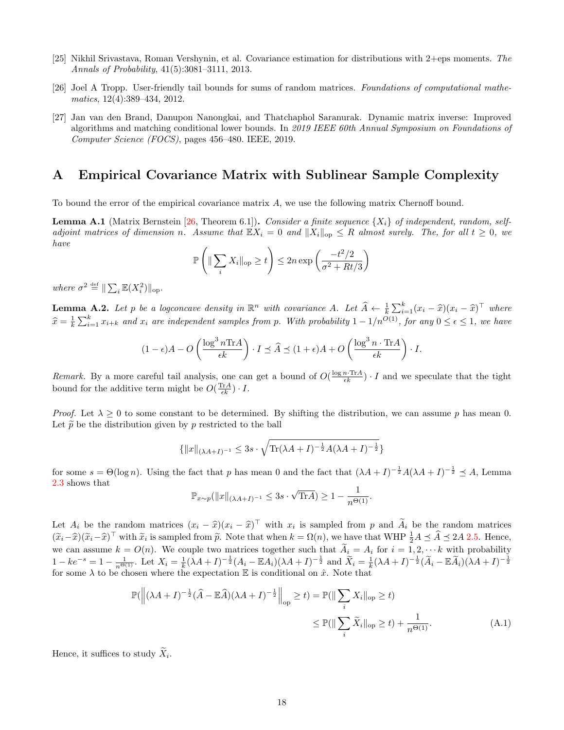- <span id="page-17-1"></span>[25] Nikhil Srivastava, Roman Vershynin, et al. Covariance estimation for distributions with 2+eps moments. The Annals of Probability, 41(5):3081–3111, 2013.
- <span id="page-17-3"></span>[26] Joel A Tropp. User-friendly tail bounds for sums of random matrices. Foundations of computational mathematics, 12(4):389–434, 2012.
- <span id="page-17-2"></span>[27] Jan van den Brand, Danupon Nanongkai, and Thatchaphol Saranurak. Dynamic matrix inverse: Improved algorithms and matching conditional lower bounds. In 2019 IEEE 60th Annual Symposium on Foundations of Computer Science (FOCS), pages 456–480. IEEE, 2019.

## A Empirical Covariance Matrix with Sublinear Sample Complexity

To bound the error of the empirical covariance matrix A, we use the following matrix Chernoff bound.

<span id="page-17-4"></span>**Lemma A.1** (Matrix Bernstein [\[26,](#page-17-3) Theorem 6.1]). Consider a finite sequence  $\{X_i\}$  of independent, random, selfadjoint matrices of dimension n. Assume that  $\mathbb{E}X_i = 0$  and  $||X_i||_{op} \leq R$  almost surely. The, for all  $t \geq 0$ , we have

$$
\mathbb{P}\left(\|\sum_{i} X_{i}\|_{\text{op}} \geq t\right) \leq 2n \exp\left(\frac{-t^{2}/2}{\sigma^{2} + Rt/3}\right)
$$

where  $\sigma^2 \stackrel{\text{def}}{=} \|\sum_i \mathbb{E}(X_i^2)\|_{\text{op}}.$ 

<span id="page-17-0"></span>**Lemma A.2.** Let p be a logconcave density in  $\mathbb{R}^n$  with covariance A. Let  $\widehat{A} \leftarrow \frac{1}{k} \sum_{i=1}^k (x_i - \widehat{x})(x_i - \widehat{x})^\top$  where  $\hat{x} = \frac{1}{k} \sum_{i=1}^{k} x_{i+k}$  and  $x_i$  are independent samples from p. With probability  $1 - 1/n^{O(1)}$ , for any  $0 \le \epsilon \le 1$ , we have

$$
(1 - \epsilon)A - O\left(\frac{\log^3 n \operatorname{Tr} A}{\epsilon k}\right) \cdot I \preceq \widehat{A} \preceq (1 + \epsilon)A + O\left(\frac{\log^3 n \cdot \operatorname{Tr} A}{\epsilon k}\right) \cdot I.
$$

Remark. By a more careful tail analysis, one can get a bound of  $O(\frac{\log n \cdot \text{Tr}A}{\epsilon k}) \cdot I$  and we speculate that the tight bound for the additive term might be  $O(\frac{\text{Tr}A}{\epsilon k}) \cdot I$ .

*Proof.* Let  $\lambda > 0$  to some constant to be determined. By shifting the distribution, we can assume p has mean 0. Let  $\tilde{p}$  be the distribution given by p restricted to the ball

$$
\{\|x\|_{(\lambda A+I)^{-1}} \leq 3s \cdot \sqrt{\text{Tr}(\lambda A+I)^{-\frac{1}{2}}A(\lambda A+I)^{-\frac{1}{2}}}\}
$$

for some  $s = \Theta(\log n)$ . Using the fact that p has mean 0 and the fact that  $(\lambda A + I)^{-\frac{1}{2}}A(\lambda A + I)^{-\frac{1}{2}} \preceq A$ , Lemma [2.3](#page-4-3) shows that

<span id="page-17-5"></span>
$$
\mathbb{P}_{x \sim p}(\|x\|_{(\lambda A + I)^{-1}} \leq 3s \cdot \sqrt{\text{Tr}A}) \geq 1 - \frac{1}{n^{\Theta(1)}}.
$$

Let  $A_i$  be the random matrices  $(x_i - \hat{x})(x_i - \hat{x})^\top$  with  $x_i$  is sampled from p and  $\widetilde{A}_i$  be the random matrices  $(\widetilde{x}_i-\widehat{x})^{\top}$  with  $\widetilde{x}_i$  is sampled from  $\widetilde{p}$ . Note that when  $k = \Omega(n)$ , we have that WHP  $\frac{1}{2}A \preceq \widehat{A} \preceq 2A$  [2.5.](#page-4-1) Hence, we can assume  $k = O(n)$ . We couple two matrices together such that  $\widetilde{A}_i = A_i$  for  $i = 1, 2, \cdots k$  with probability  $1 - ke^{-s} = 1 - \frac{1}{n^{\Theta(1)}}$ . Let  $X_i = \frac{1}{k} (\lambda A + I)^{-\frac{1}{2}} (A_i - \mathbb{E} A_i) (\lambda A + I)^{-\frac{1}{2}}$  and  $\widetilde{X}_i = \frac{1}{k} (\lambda A + I)^{-\frac{1}{2}} (\widetilde{A}_i - \mathbb{E} \widetilde{A}_i) (\lambda A + I)^{-\frac{1}{2}}$ for some  $\lambda$  to be chosen where the expectation E is conditional on  $\hat{x}$ . Note that

$$
\mathbb{P}(\left\|(\lambda A + I)^{-\frac{1}{2}}(\widehat{A} - \mathbb{E}\widehat{A})(\lambda A + I)^{-\frac{1}{2}}\right\|_{\text{op}} \ge t) = \mathbb{P}(\left\|\sum_{i} X_{i}\right\|_{\text{op}} \ge t)
$$

$$
\le \mathbb{P}(\left\|\sum_{i} \widetilde{X}_{i}\right\|_{\text{op}} \ge t) + \frac{1}{n^{\Theta(1)}}.
$$
(A.1)

Hence, it suffices to study  $X_i$ .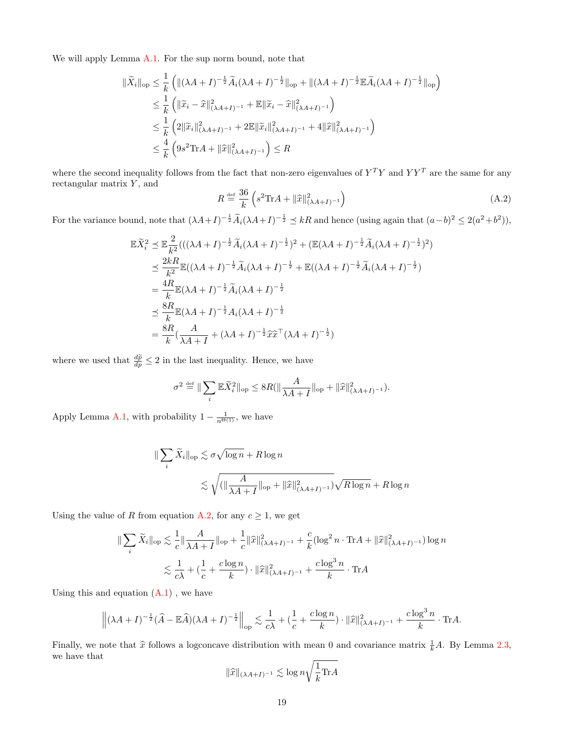We will apply Lemma [A.1.](#page-17-4) For the sup norm bound, note that

$$
\begin{split} \|\widetilde{X}_{i}\|_{\text{op}} &\leq \frac{1}{k} \left( \|(\lambda A + I)^{-\frac{1}{2}} \widetilde{A}_{i} (\lambda A + I)^{-\frac{1}{2}} \|_{\text{op}} + \|(\lambda A + I)^{-\frac{1}{2}} \mathbb{E} \widetilde{A}_{i} (\lambda A + I)^{-\frac{1}{2}} \|_{\text{op}} \right) \\ &\leq \frac{1}{k} \left( \|\widetilde{x}_{i} - \widehat{x}\|_{(\lambda A + I)^{-1}}^{2} + \mathbb{E} \|\widetilde{x}_{i} - \widehat{x}\|_{(\lambda A + I)^{-1}}^{2} \right) \\ &\leq \frac{1}{k} \left( 2 \|\widetilde{x}_{i}\|_{(\lambda A + I)^{-1}}^{2} + 2 \mathbb{E} \|\widetilde{x}_{i}\|_{(\lambda A + I)^{-1}}^{2} + 4 \|\widehat{x}\|_{(\lambda A + I)^{-1}}^{2} \right) \\ &\leq \frac{4}{k} \left( 9s^{2} \text{Tr} A + \|\widehat{x}\|_{(\lambda A + I)^{-1}}^{2} \right) \leq R \end{split}
$$

where the second inequality follows from the fact that non-zero eigenvalues of  $Y^TY$  and  $YY^T$  are the same for any rectangular matrix  $Y$ , and

<span id="page-18-0"></span>
$$
R \stackrel{\text{def}}{=} \frac{36}{k} \left( s^2 \text{Tr} A + ||\widehat{x}||^2_{(\lambda A + I)^{-1}} \right) \tag{A.2}
$$

For the variance bound, note that  $(\lambda A + I)^{-\frac{1}{2}} \tilde{A}_i (\lambda A + I)^{-\frac{1}{2}} \preceq kR$  and hence (using again that  $(a-b)^2 \leq 2(a^2+b^2)$ ),

$$
\mathbb{E}\widetilde{X}_{i}^{2} \preceq \mathbb{E}\frac{2}{k^{2}}(((\lambda A + I)^{-\frac{1}{2}}\widetilde{A}_{i}(\lambda A + I)^{-\frac{1}{2}})^{2} + (\mathbb{E}(\lambda A + I)^{-\frac{1}{2}}\widetilde{A}_{i}(\lambda A + I)^{-\frac{1}{2}})^{2})
$$
\n
$$
\preceq \frac{2kR}{k^{2}}\mathbb{E}((\lambda A + I)^{-\frac{1}{2}}\widetilde{A}_{i}(\lambda A + I)^{-\frac{1}{2}} + \mathbb{E}((\lambda A + I)^{-\frac{1}{2}}\widetilde{A}_{i}(\lambda A + I)^{-\frac{1}{2}})
$$
\n
$$
= \frac{4R}{k}\mathbb{E}(\lambda A + I)^{-\frac{1}{2}}\widetilde{A}_{i}(\lambda A + I)^{-\frac{1}{2}}
$$
\n
$$
\preceq \frac{8R}{k}\mathbb{E}(\lambda A + I)^{-\frac{1}{2}}A_{i}(\lambda A + I)^{-\frac{1}{2}}
$$
\n
$$
= \frac{8R}{k}(\frac{A}{\lambda A + I} + (\lambda A + I)^{-\frac{1}{2}}\widehat{x}\widetilde{x}^{\top}(\lambda A + I)^{-\frac{1}{2}})
$$

where we used that  $\frac{d\widetilde{p}}{dp} \leq 2$  in the last inequality. Hence, we have

$$
\sigma^2 \stackrel{\text{def}}{=} \|\sum_i \mathbb{E} \widetilde{X}_i^2\|_{\text{op}} \leq 8R(\|\frac{A}{\lambda A + I}\|_{\text{op}} + \|\widehat{x}\|_{(\lambda A + I)^{-1}}^2).
$$

Apply Lemma [A.1,](#page-17-4) with probability  $1 - \frac{1}{n^{\Theta(1)}}$ , we have

$$
\|\sum_{i}\widetilde{X}_{i}\|_{\text{op}} \lesssim \sigma\sqrt{\log n} + R\log n
$$
  
\$\lesssim \sqrt{(\|\frac{A}{\lambda A + I}\|\_{\text{op}} + \|\widehat{x}\|\_{(\lambda A + I)^{-1}}^{2})}\sqrt{R\log n} + R\log n\$

Using the value of R from equation [A.2,](#page-18-0) for any  $c \geq 1$ , we get

$$
\|\sum_{i}\widetilde{X}_{i}\|_{\text{op}} \lesssim \frac{1}{c}\|\frac{A}{\lambda A + I}\|_{\text{op}} + \frac{1}{c}\|\widehat{x}\|_{(\lambda A + I)^{-1}}^{2} + \frac{c}{k}(\log^{2} n \cdot \text{Tr}A + \|\widehat{x}\|_{(\lambda A + I)^{-1}}^{2})\log n
$$
  

$$
\lesssim \frac{1}{c\lambda} + \left(\frac{1}{c} + \frac{c\log n}{k}\right) \cdot \|\widehat{x}\|_{(\lambda A + I)^{-1}}^{2} + \frac{c\log^{3} n}{k} \cdot \text{Tr}A
$$

Using this and equation  $(A.1)$ , we have

$$
\left\| (\lambda A + I)^{-\frac{1}{2}} (\widehat{A} - \mathbb{E} \widehat{A}) (\lambda A + I)^{-\frac{1}{2}} \right\|_{\text{op}} \lesssim \frac{1}{c\lambda} + \left( \frac{1}{c} + \frac{c \log n}{k} \right) \cdot \|\widehat{x}\|_{(\lambda A + I)^{-1}}^2 + \frac{c \log^3 n}{k} \cdot \text{Tr} A.
$$

Finally, we note that  $\hat{x}$  follows a logconcave distribution with mean 0 and covariance matrix  $\frac{1}{k}A$ . By Lemma [2.3,](#page-4-3) we have that

$$
\|\widehat{x}\|_{(\lambda A+I)^{-1}} \lesssim \log n \sqrt{\frac{1}{k} \text{Tr} A}
$$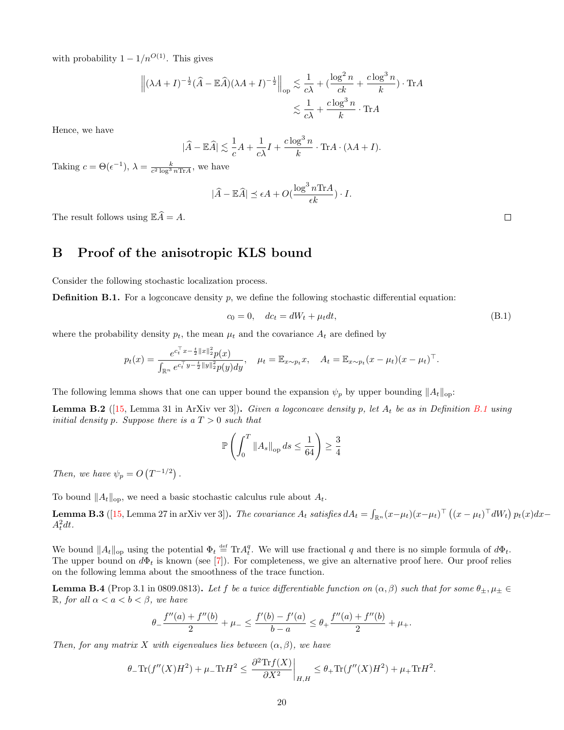with probability  $1 - 1/n^{O(1)}$ . This gives

$$
\left\| (\lambda A + I)^{-\frac{1}{2}} (\widehat{A} - \mathbb{E} \widehat{A}) (\lambda A + I)^{-\frac{1}{2}} \right\|_{op} \lesssim \frac{1}{c\lambda} + (\frac{\log^2 n}{c k} + \frac{c \log^3 n}{k}) \cdot \text{Tr} A
$$
  

$$
\lesssim \frac{1}{c\lambda} + \frac{c \log^3 n}{k} \cdot \text{Tr} A
$$

Hence, we have

$$
|\widehat{A} - \mathbb{E}\widehat{A}| \lesssim \frac{1}{c}A + \frac{1}{c\lambda}I + \frac{c\log^3 n}{k} \cdot \text{Tr}A \cdot (\lambda A + I).
$$

Taking  $c = \Theta(\epsilon^{-1}), \ \lambda = \frac{k}{c^2 \log^3 n \text{Tr} A}, \text{ we have}$ 

$$
|\widehat{A} - \mathbb{E}\widehat{A}| \le \epsilon A + O(\frac{\log^3 n \text{Tr} A}{\epsilon k}) \cdot I.
$$

The result follows using  $\mathbb{E}\widehat{A} = A$ .

## <span id="page-19-0"></span>B Proof of the anisotropic KLS bound

Consider the following stochastic localization process.

<span id="page-19-1"></span>**Definition B.1.** For a logconcave density  $p$ , we define the following stochastic differential equation:

$$
c_0 = 0, \quad dc_t = dW_t + \mu_t dt,\tag{B.1}
$$

where the probability density  $p_t$ , the mean  $\mu_t$  and the covariance  $A_t$  are defined by

$$
p_t(x) = \frac{e^{c_t^\top x - \frac{t}{2} ||x||_2^2} p(x)}{\int_{\mathbb{R}^n} e^{c_t^\top y - \frac{t}{2} ||y||_2^2} p(y) dy}, \quad \mu_t = \mathbb{E}_{x \sim p_t} x, \quad A_t = \mathbb{E}_{x \sim p_t} (x - \mu_t) (x - \mu_t)^\top.
$$

The following lemma shows that one can upper bound the expansion  $\psi_p$  by upper bounding  $||A_t||_{op}$ :

<span id="page-19-4"></span>**Lemma B.2** ([\[15,](#page-16-17) Lemma 31 in ArXiv ver 3]). Given a logconcave density p, let  $A_t$  be as in Definition [B.1](#page-19-1) using initial density p. Suppose there is a  $T > 0$  such that

$$
\mathbb{P}\left(\int_0^T \|A_s\|_{\text{op}} ds \le \frac{1}{64}\right) \ge \frac{3}{4}
$$

Then, we have  $\psi_p = O(T^{-1/2})$ .

To bound  $||A_t||_{op}$ , we need a basic stochastic calculus rule about  $A_t$ .

<span id="page-19-2"></span>**Lemma B.3** ([\[15,](#page-16-17) Lemma 27 in arXiv ver 3]). *The covariance*  $A_t$  *satisfies*  $dA_t = \int_{\mathbb{R}^n} (x-\mu_t)(x-\mu_t)^\top \left( (x-\mu_t)^\top dW_t \right) p_t(x) dx A_t^2 dt$ .

We bound  $||A_t||_{op}$  using the potential  $\Phi_t \stackrel{\text{def}}{=} \text{Tr} A_t^q$ . We will use fractional q and there is no simple formula of  $d\Phi_t$ . The upper bound on  $d\Phi_t$  is known (see [\[7\]](#page-16-18)). For completeness, we give an alternative proof here. Our proof relies on the following lemma about the smoothness of the trace function.

<span id="page-19-3"></span>**Lemma B.4** (Prop 3.1 in 0809.0813). Let f be a twice differentiable function on  $(\alpha, \beta)$  such that for some  $\theta_{\pm}, \mu_{\pm} \in$ R, for all  $\alpha < a < b < \beta$ , we have

$$
\theta_- \frac{f''(a) + f''(b)}{2} + \mu_- \le \frac{f'(b) - f'(a)}{b - a} \le \theta_+ \frac{f''(a) + f''(b)}{2} + \mu_+.
$$

Then, for any matrix X with eigenvalues lies between  $(\alpha, \beta)$ , we have

$$
\theta_{-}\mathrm{Tr}(f''(X)H^{2})+\mu_{-}\mathrm{Tr}H^{2} \leq \frac{\partial^{2}\mathrm{Tr}f(X)}{\partial X^{2}}\bigg|_{H,H} \leq \theta_{+}\mathrm{Tr}(f''(X)H^{2})+\mu_{+}\mathrm{Tr}H^{2}.
$$

 $\Box$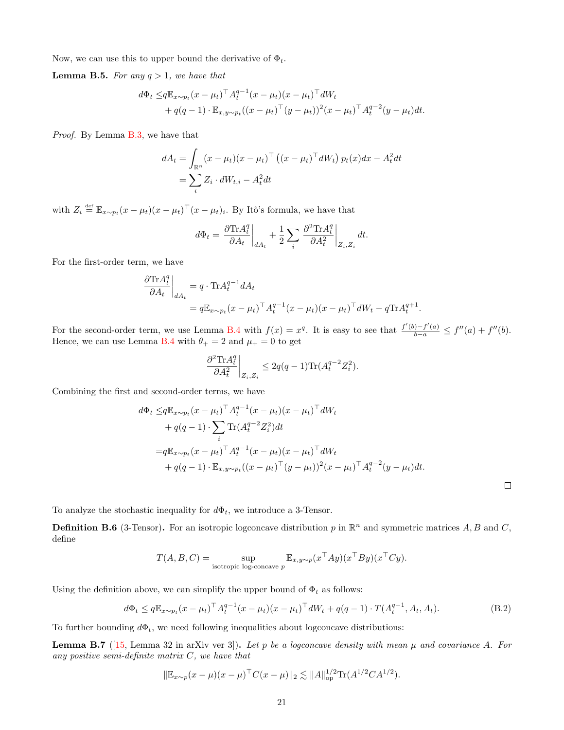Now, we can use this to upper bound the derivative of  $\Phi_t$ .

**Lemma B.5.** For any  $q > 1$ , we have that

$$
d\Phi_t \leq q \mathbb{E}_{x \sim p_t} (x - \mu_t)^{\top} A_t^{q-1} (x - \mu_t) (x - \mu_t)^{\top} dW_t + q(q-1) \cdot \mathbb{E}_{x, y \sim p_t} ((x - \mu_t)^{\top} (y - \mu_t))^2 (x - \mu_t)^{\top} A_t^{q-2} (y - \mu_t) dt.
$$

Proof. By Lemma [B.3,](#page-19-2) we have that

$$
dA_t = \int_{\mathbb{R}^n} (x - \mu_t)(x - \mu_t)^\top ((x - \mu_t)^\top dW_t) p_t(x) dx - A_t^2 dt
$$
  
= 
$$
\sum_i Z_i \cdot dW_{t,i} - A_t^2 dt
$$

with  $Z_i \stackrel{\text{def}}{=} \mathbb{E}_{x \sim p_t} (x - \mu_t)(x - \mu_t)^\top (x - \mu_t)_i$ . By Itô's formula, we have that

$$
d\Phi_t = \left.\frac{\partial \text{Tr} A^q_t}{\partial A_t}\right\vert_{dA_t} + \frac{1}{2}\sum_i \left.\frac{\partial^2 \text{Tr} A^q_t}{\partial A^2_t}\right\vert_{Z_i, Z_i} dt.
$$

For the first-order term, we have

$$
\frac{\partial \text{Tr} A_t^q}{\partial A_t}\bigg|_{dA_t} = q \cdot \text{Tr} A_t^{q-1} dA_t
$$
  
=  $q \mathbb{E}_{x \sim p_t} (x - \mu_t)^\top A_t^{q-1} (x - \mu_t) (x - \mu_t)^\top dW_t - q \text{Tr} A_t^{q+1}.$ 

For the second-order term, we use Lemma [B.4](#page-19-3) with  $f(x) = x^q$ . It is easy to see that  $\frac{f'(b) - f'(a)}{b - a} \le f''(a) + f''(b)$ . Hence, we can use Lemma [B.4](#page-19-3) with  $\theta_+ = 2$  and  $\mu_+ = 0$  to get

$$
\left. \frac{\partial^2 \text{Tr} A_t^q}{\partial A_t^2} \right|_{Z_i, Z_i} \leq 2q(q-1) \text{Tr} (A_t^{q-2} Z_i^2).
$$

Combining the first and second-order terms, we have

$$
d\Phi_t \leq q \mathbb{E}_{x \sim p_t} (x - \mu_t)^{\top} A_t^{q-1} (x - \mu_t) (x - \mu_t)^{\top} dW_t
$$
  
+  $q(q-1) \cdot \sum_i \text{Tr}(A_t^{q-2} Z_i^2) dt$   
=  $q \mathbb{E}_{x \sim p_t} (x - \mu_t)^{\top} A_t^{q-1} (x - \mu_t) (x - \mu_t)^{\top} dW_t$   
+  $q(q-1) \cdot \mathbb{E}_{x, y \sim p_t} ((x - \mu_t)^{\top} (y - \mu_t))^2 (x - \mu_t)^{\top} A_t^{q-2} (y - \mu_t) dt.$ 

To analyze the stochastic inequality for  $d\Phi_t$ , we introduce a 3-Tensor.

**Definition B.6** (3-Tensor). For an isotropic logeoncave distribution p in  $\mathbb{R}^n$  and symmetric matrices A, B and C, define

$$
T(A, B, C) = \sup_{\text{isotropic log-concave } p} \mathbb{E}_{x, y \sim p}(x^{\top} A y)(x^{\top} B y)(x^{\top} C y).
$$

Using the definition above, we can simplify the upper bound of  $\Phi_t$  as follows:

<span id="page-20-0"></span>
$$
d\Phi_t \le q \mathbb{E}_{x \sim p_t} (x - \mu_t)^{\top} A_t^{q-1} (x - \mu_t) (x - \mu_t)^{\top} dW_t + q(q-1) \cdot T(A_t^{q-1}, A_t, A_t).
$$
 (B.2)

To further bounding  $d\Phi_t$ , we need following inequalities about logconcave distributions:

<span id="page-20-1"></span>**Lemma B.7** ([\[15,](#page-16-17) Lemma 32 in arXiv ver 3]). Let p be a logconcave density with mean  $\mu$  and covariance A. For any positive semi-definite matrix  $C$ , we have that

$$
\|\mathbb{E}_{x \sim p}(x - \mu)(x - \mu)^{\top} C(x - \mu)\|_2 \lesssim \|A\|_{\mathrm{op}}^{1/2} \mathrm{Tr}(A^{1/2}CA^{1/2}).
$$

 $\Box$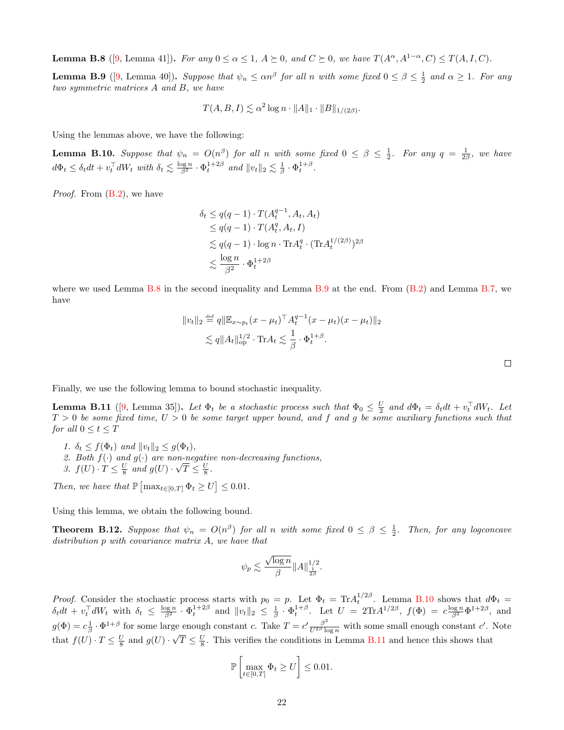<span id="page-21-1"></span>**Lemma B.8** ([\[9,](#page-16-19) Lemma 41]). For any  $0 \le \alpha \le 1$ ,  $A \succeq 0$ , and  $C \succeq 0$ , we have  $T(A^{\alpha}, A^{1-\alpha}, C) \le T(A, I, C)$ .

<span id="page-21-2"></span>**Lemma B.9** ([\[9,](#page-16-19) Lemma 40]). Suppose that  $\psi_n \leq \alpha n^{\beta}$  for all n with some fixed  $0 \leq \beta \leq \frac{1}{2}$  and  $\alpha \geq 1$ . For any two symmetric matrices A and B, we have

 $T(A, B, I) \lesssim \alpha^2 \log n \cdot ||A||_1 \cdot ||B||_{1/(2\beta)}.$ 

Using the lemmas above, we have the following:

<span id="page-21-3"></span>**Lemma B.10.** Suppose that  $\psi_n = O(n^{\beta})$  for all n with some fixed  $0 \leq \beta \leq \frac{1}{2}$ . For any  $q = \frac{1}{2\beta}$ , we have  $d\Phi_t \leq \delta_t dt + v_t^{\top} dW_t$  with  $\delta_t \lesssim \frac{\log n}{\beta^2} \cdot \Phi_t^{1+2\beta}$  and  $||v_t||_2 \lesssim \frac{1}{\beta} \cdot \Phi_t^{1+\beta}$ .

*Proof.* From  $(B.2)$ , we have

$$
\delta_t \le q(q-1) \cdot T(A_t^{q-1}, A_t, A_t)
$$
  
\n
$$
\le q(q-1) \cdot T(A_t^q, A_t, I)
$$
  
\n
$$
\lesssim q(q-1) \cdot \log n \cdot \text{Tr} A_t^q \cdot (\text{Tr} A_t^{1/(2\beta)})^{2\beta}
$$
  
\n
$$
\lesssim \frac{\log n}{\beta^2} \cdot \Phi_t^{1+2\beta}
$$

where we used Lemma [B.8](#page-21-1) in the second inequality and Lemma [B.9](#page-21-2) at the end. From  $(B.2)$  and Lemma [B.7,](#page-20-1) we have

$$
||v_t||_2 \stackrel{\text{def}}{=} q||\mathbb{E}_{x \sim p_t} (x - \mu_t)^\top A_t^{q-1} (x - \mu_t) (x - \mu_t) ||_2
$$
  

$$
\lesssim q||A_t||_{\text{op}}^{1/2} \cdot \text{Tr} A_t \lesssim \frac{1}{\beta} \cdot \Phi_t^{1+\beta}.
$$

Finally, we use the following lemma to bound stochastic inequality.

<span id="page-21-4"></span>**Lemma B.11** ([\[9,](#page-16-19) Lemma 35]). Let  $\Phi_t$  be a stochastic process such that  $\Phi_0 \leq \frac{U}{2}$  and  $d\Phi_t = \delta_t dt + v_t^{\top} dW_t$ . Let  $T > 0$  be some fixed time,  $U > 0$  be some target upper bound, and f and g be some auxiliary functions such that for all  $0 \le t \le T$ 

- 1.  $\delta_t \leq f(\Phi_t)$  and  $||v_t||_2 \leq g(\Phi_t)$ ,
- 2. Both  $f(\cdot)$  and  $g(\cdot)$  are non-negative non-decreasing functions,  $\binom{n}{2}$
- 3.  $f(U) \cdot T \leq \frac{U}{8}$  and  $g(U) \cdot$  $\overline{T}\leq \frac{U}{8}$ .

Then, we have that  $\mathbb{P}\left[\max_{t\in[0,T]}\Phi_t\geq U\right]\leq 0.01$ .

Using this lemma, we obtain the following bound.

<span id="page-21-0"></span>**Theorem B.12.** Suppose that  $\psi_n = O(n^{\beta})$  for all n with some fixed  $0 \leq \beta \leq \frac{1}{2}$ . Then, for any logconcave distribution p with covariance matrix A, we have that

$$
\psi_p \lesssim \frac{\sqrt{\log n}}{\beta} \|A\|_{\frac{1}{2\beta}}^{1/2}.
$$

*Proof.* Consider the stochastic process starts with  $p_0 = p$ . Let  $\Phi_t = \text{Tr} A_t^{1/2\beta}$ . Lemma [B.10](#page-21-3) shows that  $d\Phi_t =$  $\delta_t dt + v_t^\top dW_t$  with  $\delta_t \leq \frac{\log n}{\beta^2} \cdot \Phi_t^{1+2\beta}$  and  $||v_t||_2 \leq \frac{1}{\beta} \cdot \Phi_t^{1+\beta}$ . Let  $U = 2\text{Tr}A^{1/2\beta}$ ,  $f(\Phi) = c\frac{\log n}{\beta^2} \Phi^{1+2\beta}$ , and  $g(\Phi) = c_{\beta}^{\frac{1}{2}} \cdot \Phi^{1+\beta}$  for some large enough constant c. Take  $T = c' \frac{\beta^2}{U^{2\beta} \log n}$  with some small enough constant c'. Note that  $f(U) \cdot T \leq \frac{U}{8}$  and  $g(U) \cdot \sqrt{T} \leq \frac{U}{8}$ . This verifies the conditions in Lemma [B.11](#page-21-4) and hence this shows that

$$
\mathbb{P}\left[\max_{t\in[0,T]}\Phi_t\geq U\right]\leq 0.01.
$$